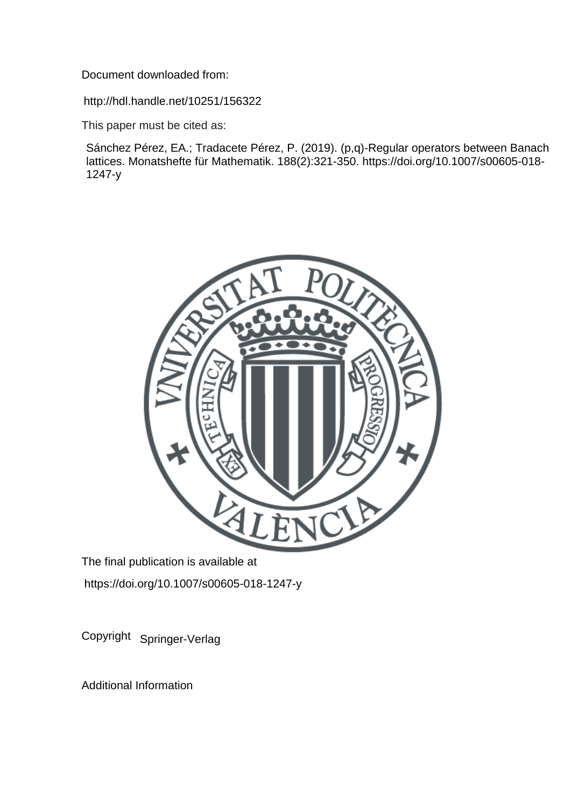Document downloaded from:

http://hdl.handle.net/10251/156322

This paper must be cited as:

Sánchez Pérez, EA.; Tradacete Pérez, P. (2019). (p,q)-Regular operators between Banach lattices. Monatshefte für Mathematik. 188(2):321-350. https://doi.org/10.1007/s00605-018- 1247-y



The final publication is available at https://doi.org/10.1007/s00605-018-1247-y

Copyright Springer-Verlag

Additional Information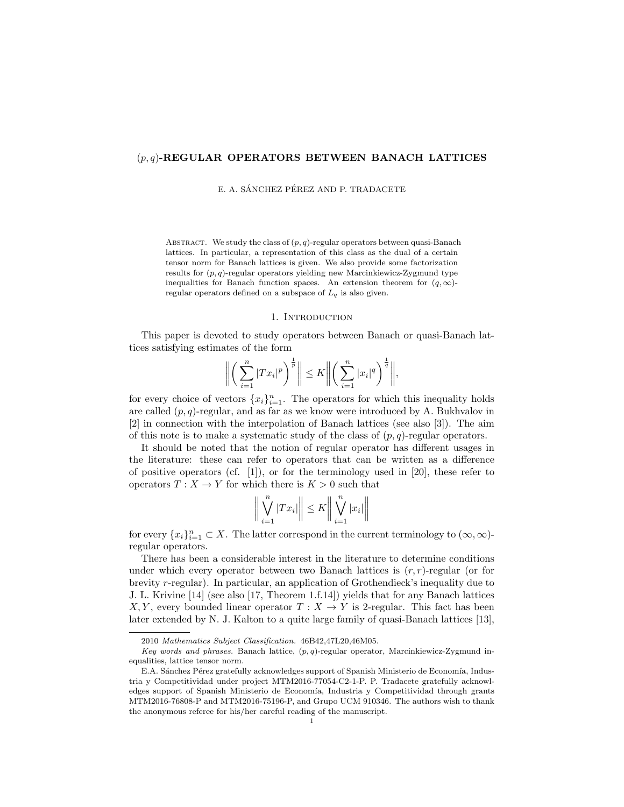## $(p, q)$ -REGULAR OPERATORS BETWEEN BANACH LATTICES

E. A. SÁNCHEZ PÉREZ AND P. TRADACETE

ABSTRACT. We study the class of  $(p, q)$ -regular operators between quasi-Banach lattices. In particular, a representation of this class as the dual of a certain tensor norm for Banach lattices is given. We also provide some factorization results for  $(p, q)$ -regular operators yielding new Marcinkiewicz-Zygmund type inequalities for Banach function spaces. An extension theorem for  $(q, \infty)$ regular operators defined on a subspace of  $L_q$  is also given.

### 1. INTRODUCTION

This paper is devoted to study operators between Banach or quasi-Banach lattices satisfying estimates of the form

$$
\left\| \left( \sum_{i=1}^n |Tx_i|^p \right)^{\frac{1}{p}} \right\| \leq K \left\| \left( \sum_{i=1}^n |x_i|^q \right)^{\frac{1}{q}} \right\|,
$$

for every choice of vectors  ${x_i}_{i=1}^n$ . The operators for which this inequality holds are called  $(p, q)$ -regular, and as far as we know were introduced by A. Bukhvalov in [2] in connection with the interpolation of Banach lattices (see also [3]). The aim of this note is to make a systematic study of the class of  $(p, q)$ -regular operators.

It should be noted that the notion of regular operator has different usages in the literature: these can refer to operators that can be written as a difference of positive operators (cf. [1]), or for the terminology used in [20], these refer to operators  $T : X \to Y$  for which there is  $K > 0$  such that

$$
\left\| \bigvee_{i=1}^{n} |Tx_{i}| \right\| \leq K \left\| \bigvee_{i=1}^{n} |x_{i}| \right\|
$$

for every  $\{x_i\}_{i=1}^n \subset X$ . The latter correspond in the current terminology to  $(\infty, \infty)$ regular operators.

There has been a considerable interest in the literature to determine conditions under which every operator between two Banach lattices is  $(r, r)$ -regular (or for brevity r-regular). In particular, an application of Grothendieck's inequality due to J. L. Krivine [14] (see also [17, Theorem 1.f.14]) yields that for any Banach lattices X, Y, every bounded linear operator  $T : X \to Y$  is 2-regular. This fact has been later extended by N. J. Kalton to a quite large family of quasi-Banach lattices [13],

<sup>2010</sup> Mathematics Subject Classification. 46B42,47L20,46M05.

Key words and phrases. Banach lattice,  $(p, q)$ -regular operator, Marcinkiewicz-Zygmund inequalities, lattice tensor norm.

E.A. Sánchez Pérez gratefully acknowledges support of Spanish Ministerio de Economía, Industria y Competitividad under project MTM2016-77054-C2-1-P. P. Tradacete gratefully acknowledges support of Spanish Ministerio de Economía, Industria y Competitividad through grants MTM2016-76808-P and MTM2016-75196-P, and Grupo UCM 910346. The authors wish to thank the anonymous referee for his/her careful reading of the manuscript.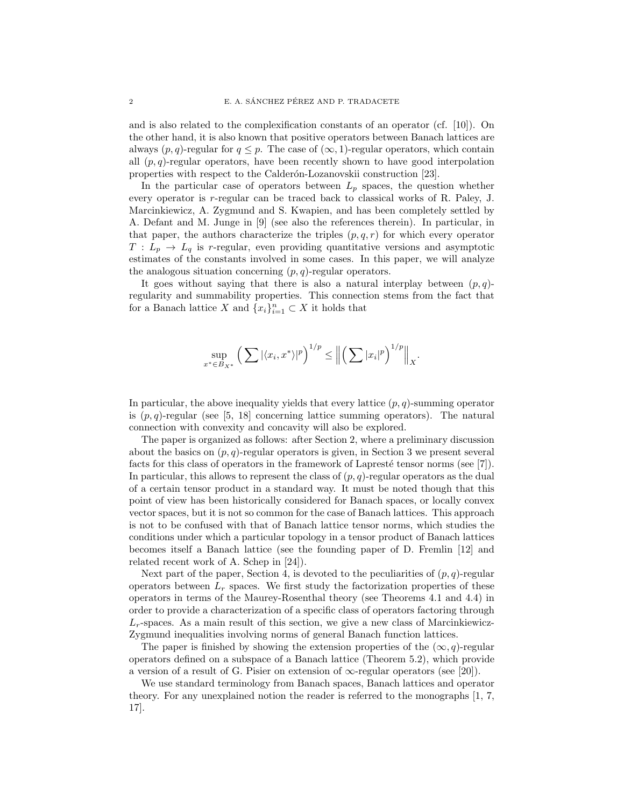and is also related to the complexification constants of an operator (cf. [10]). On the other hand, it is also known that positive operators between Banach lattices are always  $(p, q)$ -regular for  $q \leq p$ . The case of  $(\infty, 1)$ -regular operators, which contain all  $(p, q)$ -regular operators, have been recently shown to have good interpolation properties with respect to the Calderón-Lozanovskii construction [23].

In the particular case of operators between  $L_p$  spaces, the question whether every operator is r-regular can be traced back to classical works of R. Paley, J. Marcinkiewicz, A. Zygmund and S. Kwapien, and has been completely settled by A. Defant and M. Junge in [9] (see also the references therein). In particular, in that paper, the authors characterize the triples  $(p, q, r)$  for which every operator  $T: L_p \to L_q$  is r-regular, even providing quantitative versions and asymptotic estimates of the constants involved in some cases. In this paper, we will analyze the analogous situation concerning  $(p, q)$ -regular operators.

It goes without saying that there is also a natural interplay between  $(p, q)$ regularity and summability properties. This connection stems from the fact that for a Banach lattice X and  ${x_i}_{i=1}^n \subset X$  it holds that

$$
\sup_{x^* \in B_{X^*}} \left( \sum |\langle x_i, x^* \rangle|^p \right)^{1/p} \leq \left\| \left( \sum |x_i|^p \right)^{1/p} \right\|_X.
$$

In particular, the above inequality yields that every lattice  $(p, q)$ -summing operator is  $(p, q)$ -regular (see [5, 18] concerning lattice summing operators). The natural connection with convexity and concavity will also be explored.

The paper is organized as follows: after Section 2, where a preliminary discussion about the basics on  $(p, q)$ -regular operators is given, in Section 3 we present several facts for this class of operators in the framework of Lapresté tensor norms (see  $[7]$ ). In particular, this allows to represent the class of  $(p, q)$ -regular operators as the dual of a certain tensor product in a standard way. It must be noted though that this point of view has been historically considered for Banach spaces, or locally convex vector spaces, but it is not so common for the case of Banach lattices. This approach is not to be confused with that of Banach lattice tensor norms, which studies the conditions under which a particular topology in a tensor product of Banach lattices becomes itself a Banach lattice (see the founding paper of D. Fremlin [12] and related recent work of A. Schep in [24]).

Next part of the paper, Section 4, is devoted to the peculiarities of  $(p, q)$ -regular operators between  $L_r$  spaces. We first study the factorization properties of these operators in terms of the Maurey-Rosenthal theory (see Theorems 4.1 and 4.4) in order to provide a characterization of a specific class of operators factoring through  $L_r$ -spaces. As a main result of this section, we give a new class of Marcinkiewicz-Zygmund inequalities involving norms of general Banach function lattices.

The paper is finished by showing the extension properties of the  $(\infty, q)$ -regular operators defined on a subspace of a Banach lattice (Theorem 5.2), which provide a version of a result of G. Pisier on extension of  $\infty$ -regular operators (see [20]).

We use standard terminology from Banach spaces, Banach lattices and operator theory. For any unexplained notion the reader is referred to the monographs [1, 7, 17].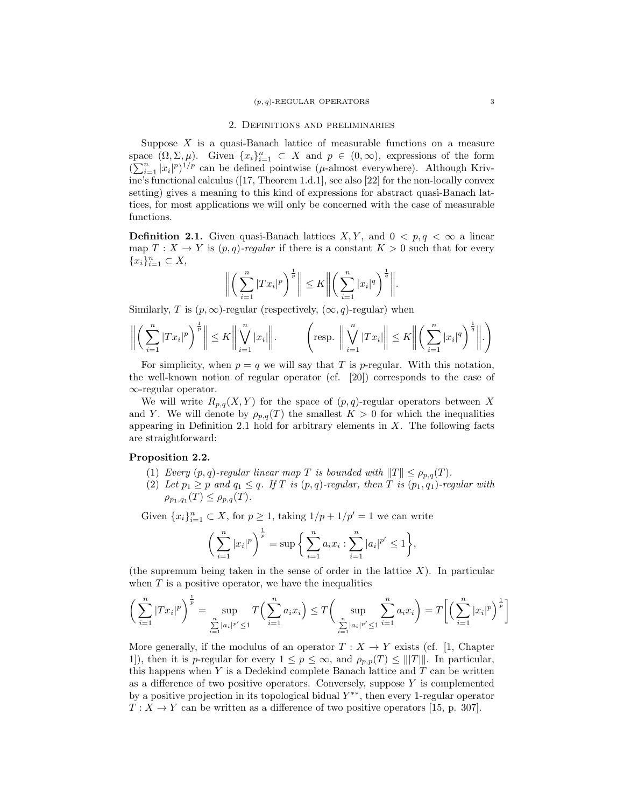# 2. Definitions and preliminaries

Suppose  $X$  is a quasi-Banach lattice of measurable functions on a measure space  $(\Omega, \Sigma, \mu)$ . Given  $\{x_i\}_{i=1}^n \subset X$  and  $p \in (0, \infty)$ , expressions of the form  $(\sum_{i=1}^n |x_i|^p)^{1/p}$  can be defined pointwise ( $\mu$ -almost everywhere). Although Krivine's functional calculus ([17, Theorem 1.d.1], see also [22] for the non-locally convex setting) gives a meaning to this kind of expressions for abstract quasi-Banach lattices, for most applications we will only be concerned with the case of measurable functions.

**Definition 2.1.** Given quasi-Banach lattices  $X, Y$ , and  $0 < p, q < \infty$  a linear map  $T : X \to Y$  is  $(p,q)$ -regular if there is a constant  $K > 0$  such that for every  ${x_i}_{i=1}^n \subset X,$ 

$$
\left\| \left( \sum_{i=1}^n |Tx_i|^p \right)^{\frac{1}{p}} \right\| \leq K \left\| \left( \sum_{i=1}^n |x_i|^q \right)^{\frac{1}{q}} \right\|.
$$

Similarly, T is  $(p, \infty)$ -regular (respectively,  $(\infty, q)$ -regular) when

$$
\left\| \left( \sum_{i=1}^n |Tx_i|^p \right)^{\frac{1}{p}} \right\| \le K \left\| \bigvee_{i=1}^n |x_i| \right\|.
$$
 
$$
\left( \text{resp. } \left\| \bigvee_{i=1}^n |Tx_i| \right\| \le K \left\| \left( \sum_{i=1}^n |x_i|^q \right)^{\frac{1}{q}} \right\|.
$$

For simplicity, when  $p = q$  we will say that T is p-regular. With this notation, the well-known notion of regular operator (cf. [20]) corresponds to the case of ∞-regular operator.

We will write  $R_{p,q}(X, Y)$  for the space of  $(p,q)$ -regular operators between X and Y. We will denote by  $\rho_{p,q}(T)$  the smallest  $K > 0$  for which the inequalities appearing in Definition 2.1 hold for arbitrary elements in  $X$ . The following facts are straightforward:

### Proposition 2.2.

- (1) Every  $(p, q)$ -regular linear map T is bounded with  $||T|| \leq \rho_{p,q}(T)$ .
- (2) Let  $p_1 \geq p$  and  $q_1 \leq q$ . If T is  $(p, q)$ -regular, then T is  $(p_1, q_1)$ -regular with  $\rho_{p_1,q_1}(T) \leq \rho_{p,q}(T)$ .

Given  ${x_i}_{i=1}^n \subset X$ , for  $p \ge 1$ , taking  $1/p + 1/p' = 1$  we can write

$$
\left(\sum_{i=1}^n |x_i|^p\right)^{\frac{1}{p}} = \sup\bigg\{\sum_{i=1}^n a_i x_i : \sum_{i=1}^n |a_i|^{p'} \le 1\bigg\},\
$$

(the supremum being taken in the sense of order in the lattice  $X$ ). In particular when  $T$  is a positive operator, we have the inequalities

$$
\left(\sum_{i=1}^{n} |Tx_i|^p\right)^{\frac{1}{p}} = \sup_{\sum_{i=1}^{n} |a_i|^{p'} \le 1} T\left(\sum_{i=1}^{n} a_i x_i\right) \le T\left(\sup_{\sum_{i=1}^{n} |a_i|^{p'} \le 1} \sum_{i=1}^{n} a_i x_i\right) = T\left[\left(\sum_{i=1}^{n} |x_i|^p\right)^{\frac{1}{p}}\right]
$$

More generally, if the modulus of an operator  $T : X \to Y$  exists (cf. [1, Chapter 1]), then it is p-regular for every  $1 \le p \le \infty$ , and  $\rho_{p,p}(T) \le |||T|||$ . In particular, this happens when  $Y$  is a Dedekind complete Banach lattice and  $T$  can be written as a difference of two positive operators. Conversely, suppose  $Y$  is complemented by a positive projection in its topological bidual  $Y^{**}$ , then every 1-regular operator  $T: X \to Y$  can be written as a difference of two positive operators [15, p. 307].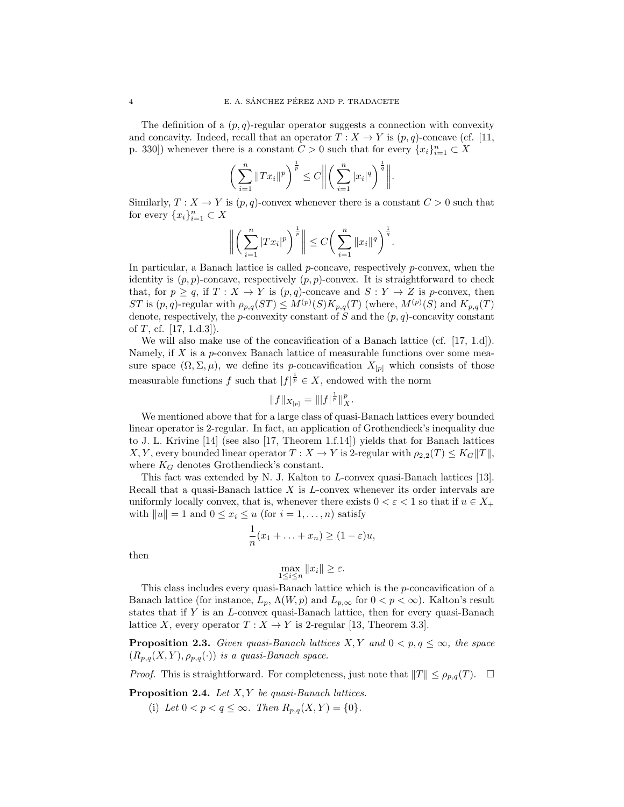The definition of a  $(p, q)$ -regular operator suggests a connection with convexity and concavity. Indeed, recall that an operator  $T : X \to Y$  is  $(p,q)$ -concave (cf. [11, p. 330]) whenever there is a constant  $C > 0$  such that for every  $\{x_i\}_{i=1}^n \subset X$ 

$$
\bigg(\sum_{i=1}^n \|Tx_i\|^p\bigg)^{\frac{1}{p}} \le C \bigg\| \bigg(\sum_{i=1}^n |x_i|^q\bigg)^{\frac{1}{q}} \bigg\|.
$$

Similarly,  $T : X \to Y$  is  $(p, q)$ -convex whenever there is a constant  $C > 0$  such that for every  $\{x_i\}_{i=1}^n \subset X$ 

$$
\left\| \left( \sum_{i=1}^n |Tx_i|^p \right)^{\frac{1}{p}} \right\| \le C \bigg( \sum_{i=1}^n \|x_i\|^q \bigg)^{\frac{1}{q}}.
$$

In particular, a Banach lattice is called  $p$ -concave, respectively  $p$ -convex, when the identity is  $(p, p)$ -concave, respectively  $(p, p)$ -convex. It is straightforward to check that, for  $p \ge q$ , if  $T : X \to Y$  is  $(p,q)$ -concave and  $S : Y \to Z$  is p-convex, then ST is  $(p,q)$ -regular with  $\rho_{p,q}(ST) \leq M^{(p)}(S)K_{p,q}(T)$  (where,  $M^{(p)}(S)$  and  $K_{p,q}(T)$ denote, respectively, the p-convexity constant of S and the  $(p, q)$ -concavity constant of  $T$ , cf. [17, 1.d.3]).

We will also make use of the concavification of a Banach lattice (cf. [17, 1.d]). Namely, if  $X$  is a  $p$ -convex Banach lattice of measurable functions over some measure space  $(\Omega, \Sigma, \mu)$ , we define its p-concavification  $X_{[p]}$  which consists of those measurable functions f such that  $|f|^{\frac{1}{p}} \in X$ , endowed with the norm

$$
||f||_{X_{[p]}} = |||f|^{\frac{1}{p}}||_X^p.
$$

We mentioned above that for a large class of quasi-Banach lattices every bounded linear operator is 2-regular. In fact, an application of Grothendieck's inequality due to J. L. Krivine [14] (see also [17, Theorem 1.f.14]) yields that for Banach lattices X, Y, every bounded linear operator  $T : X \to Y$  is 2-regular with  $\rho_{2,2}(T) \leq K_G ||T||$ , where  $K_G$  denotes Grothendieck's constant.

This fact was extended by N. J. Kalton to L-convex quasi-Banach lattices [13]. Recall that a quasi-Banach lattice  $X$  is  $L$ -convex whenever its order intervals are uniformly locally convex, that is, whenever there exists  $0 < \varepsilon < 1$  so that if  $u \in X_+$ with  $||u|| = 1$  and  $0 \le x_i \le u$  (for  $i = 1, ..., n$ ) satisfy

$$
\frac{1}{n}(x_1 + \ldots + x_n) \ge (1 - \varepsilon)u,
$$

then

$$
\max_{1 \le i \le n} ||x_i|| \ge \varepsilon.
$$

This class includes every quasi-Banach lattice which is the  $p$ -concavification of a Banach lattice (for instance,  $L_p$ ,  $\Lambda(W, p)$  and  $L_{p,\infty}$  for  $0 < p < \infty$ ). Kalton's result states that if Y is an L-convex quasi-Banach lattice, then for every quasi-Banach lattice X, every operator  $T : X \to Y$  is 2-regular [13, Theorem 3.3].

**Proposition 2.3.** Given quasi-Banach lattices X, Y and  $0 < p, q \le \infty$ , the space  $(R_{p,q}(X, Y), \rho_{p,q}(\cdot))$  is a quasi-Banach space.

*Proof.* This is straightforward. For completeness, just note that  $||T|| \leq \rho_{p,q}(T)$ .  $\Box$ 

**Proposition 2.4.** Let  $X, Y$  be quasi-Banach lattices.

(i) Let  $0 < p < q \leq \infty$ . Then  $R_{p,q}(X, Y) = \{0\}.$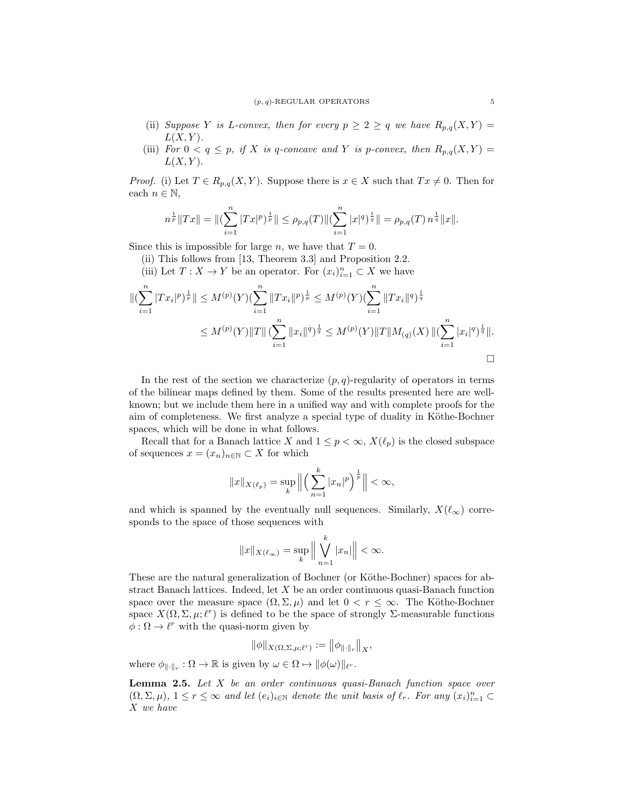- (ii) Suppose Y is L-convex, then for every  $p \geq 2 \geq q$  we have  $R_{p,q}(X, Y) =$  $L(X, Y)$ .
- (iii) For  $0 < q \leq p$ , if X is q-concave and Y is p-convex, then  $R_{p,q}(X,Y) =$  $L(X, Y)$ .

*Proof.* (i) Let  $T \in R_{p,q}(X, Y)$ . Suppose there is  $x \in X$  such that  $Tx \neq 0$ . Then for each  $n \in \mathbb{N}$ ,

$$
n^{\frac{1}{p}}\|Tx\| = \|(\sum_{i=1}^{n} |Tx|^p)^{\frac{1}{p}}\| \le \rho_{p,q}(T) \|(\sum_{i=1}^{n} |x|^q)^{\frac{1}{q}}\| = \rho_{p,q}(T) n^{\frac{1}{q}} \|x\|.
$$

Since this is impossible for large n, we have that  $T = 0$ .

(ii) This follows from [13, Theorem 3.3] and Proposition 2.2.

(iii) Let  $T: X \to Y$  be an operator. For  $(x_i)_{i=1}^n \subset X$  we have

$$
\begin{aligned} \|( \sum_{i=1}^n |Tx_i|^p)^{\frac{1}{p}} \| &\leq M^{(p)}(Y) (\sum_{i=1}^n \|Tx_i\|^p)^{\frac{1}{p}} \leq M^{(p)}(Y) (\sum_{i=1}^n \|Tx_i\|^q)^{\frac{1}{q}} \\ &\leq M^{(p)}(Y) \|T\| \left( \sum_{i=1}^n \|x_i\|^q \right)^{\frac{1}{q}} \leq M^{(p)}(Y) \|T\| M_{(q)}(X) \, \| (\sum_{i=1}^n |x_i|^q)^{\frac{1}{q}} \|. \end{aligned}
$$

In the rest of the section we characterize  $(p, q)$ -regularity of operators in terms of the bilinear maps defined by them. Some of the results presented here are wellknown; but we include them here in a unified way and with complete proofs for the aim of completeness. We first analyze a special type of duality in Köthe-Bochner spaces, which will be done in what follows.

Recall that for a Banach lattice X and  $1 \leq p < \infty$ ,  $X(\ell_p)$  is the closed subspace of sequences  $x = (x_n)_{n \in \mathbb{N}} \subset X$  for which

$$
||x||_{X(\ell_p)} = \sup_k \left\| \left( \sum_{n=1}^k |x_n|^p \right)^{\frac{1}{p}} \right\| < \infty,
$$

and which is spanned by the eventually null sequences. Similarly,  $X(\ell_{\infty})$  corresponds to the space of those sequences with

$$
||x||_{X(\ell_{\infty})} = \sup_{k} \left| \left| \bigvee_{n=1}^{k} |x_n| \right| \right| < \infty.
$$

These are the natural generalization of Bochner (or Köthe-Bochner) spaces for abstract Banach lattices. Indeed, let  $X$  be an order continuous quasi-Banach function space over the measure space  $(\Omega, \Sigma, \mu)$  and let  $0 < r \leq \infty$ . The Köthe-Bochner space  $X(\Omega, \Sigma, \mu; \ell^r)$  is defined to be the space of strongly  $\Sigma$ -measurable functions  $\phi : \Omega \to \ell^r$  with the quasi-norm given by

$$
\|\phi\|_{X(\Omega,\Sigma,\mu;\ell^r)}:=\left\|\phi_{\|\cdot\|_r}\right\|_X,
$$

where  $\phi_{\|\cdot\|_r} : \Omega \to \mathbb{R}$  is given by  $\omega \in \Omega \mapsto \|\phi(\omega)\|_{\ell^r}$ .

**Lemma 2.5.** Let  $X$  be an order continuous quasi-Banach function space over  $(\Omega, \Sigma, \mu)$ ,  $1 \leq r \leq \infty$  and let  $(e_i)_{i \in \mathbb{N}}$  denote the unit basis of  $\ell_r$ . For any  $(x_i)_{i=1}^n \subset$ X we have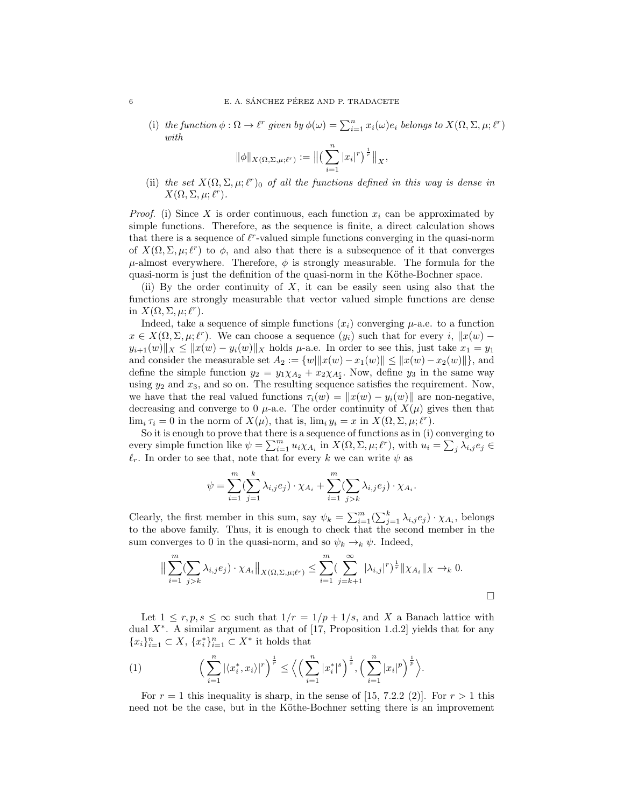(i) the function  $\phi : \Omega \to \ell^r$  given by  $\phi(\omega) = \sum_{i=1}^n x_i(\omega) e_i$  belongs to  $X(\Omega, \Sigma, \mu; \ell^r)$ with

$$
\|\phi\|_{X(\Omega,\Sigma,\mu;\ell^r)} := \big\| \big(\sum_{i=1}^n |x_i|^r \big)^{\frac{1}{r}} \big\|_X,
$$

(ii) the set  $X(\Omega, \Sigma, \mu; \ell^r)$  of all the functions defined in this way is dense in  $X(\Omega, \Sigma, \mu; \ell^r).$ 

*Proof.* (i) Since X is order continuous, each function  $x_i$  can be approximated by simple functions. Therefore, as the sequence is finite, a direct calculation shows that there is a sequence of  $\ell^r$ -valued simple functions converging in the quasi-norm of  $X(\Omega, \Sigma, \mu; \ell^r)$  to  $\phi$ , and also that there is a subsequence of it that converges  $\mu$ -almost everywhere. Therefore,  $\phi$  is strongly measurable. The formula for the quasi-norm is just the definition of the quasi-norm in the Köthe-Bochner space.

(ii) By the order continuity of  $X$ , it can be easily seen using also that the functions are strongly measurable that vector valued simple functions are dense in  $X(\Omega, \Sigma, \mu; \ell^r)$ .

Indeed, take a sequence of simple functions  $(x_i)$  converging  $\mu$ -a.e. to a function  $x \in X(\Omega, \Sigma, \mu; \ell^r)$ . We can choose a sequence  $(y_i)$  such that for every i,  $||x(w)$  $y_{i+1}(w)$ <sub>x</sub>  $\leq$   $||x(w) - y_i(w)||$ <sub>x</sub> holds  $\mu$ -a.e. In order to see this, just take  $x_1 = y_1$ and consider the measurable set  $A_2 := \{w \|\|x(w) - x_1(w)\| \leq \|x(w) - x_2(w)\|\}$ , and define the simple function  $y_2 = y_1 \chi_{A_2} + x_2 \chi_{A_2^c}$ . Now, define  $y_3$  in the same way using  $y_2$  and  $x_3$ , and so on. The resulting sequence satisfies the requirement. Now, we have that the real valued functions  $\tau_i(w) = ||x(w) - y_i(w)||$  are non-negative, decreasing and converge to 0  $\mu$ -a.e. The order continuity of  $X(\mu)$  gives then that  $\lim_{i} \tau_i = 0$  in the norm of  $X(\mu)$ , that is,  $\lim_{i} y_i = x$  in  $X(\Omega, \Sigma, \mu; \ell^r)$ .

So it is enough to prove that there is a sequence of functions as in (i) converging to every simple function like  $\psi = \sum_{i=1}^m u_i \chi_{A_i}$  in  $X(\Omega, \Sigma, \mu; \ell^r)$ , with  $u_i = \sum_j \lambda_{i,j} e_j \in$  $\ell_r$ . In order to see that, note that for every k we can write  $\psi$  as

$$
\psi = \sum_{i=1}^m \left( \sum_{j=1}^k \lambda_{i,j} e_j \right) \cdot \chi_{A_i} + \sum_{i=1}^m \left( \sum_{j>k} \lambda_{i,j} e_j \right) \cdot \chi_{A_i}.
$$

Clearly, the first member in this sum, say  $\psi_k = \sum_{i=1}^m (\sum_{j=1}^k \lambda_{i,j} e_j) \cdot \chi_{A_i}$ , belongs to the above family. Thus, it is enough to check that the second member in the sum converges to 0 in the quasi-norm, and so  $\psi_k \to_k \psi$ . Indeed,

$$
\|\sum_{i=1}^{m} (\sum_{j>k} \lambda_{i,j} e_j) \cdot \chi_{A_i}\|_{X(\Omega,\Sigma,\mu;\ell^r)} \leq \sum_{i=1}^{m} (\sum_{j=k+1}^{\infty} |\lambda_{i,j}|^r)^{\frac{1}{r}} \|\chi_{A_i}\|_{X} \to_k 0.
$$

Let  $1 \leq r, p, s \leq \infty$  such that  $1/r = 1/p + 1/s$ , and X a Banach lattice with dual  $X^*$ . A similar argument as that of [17, Proposition 1.d.2] yields that for any  ${x_i}_{i=1}^n \subset X$ ,  ${x_i^*}_{i=1}^n \subset X^*$  it holds that

(1) 
$$
\left(\sum_{i=1}^n |\langle x_i^*, x_i \rangle|^r\right)^{\frac{1}{r}} \le \left\langle \left(\sum_{i=1}^n |x_i^*|^s\right)^{\frac{1}{s}}, \left(\sum_{i=1}^n |x_i|^p\right)^{\frac{1}{p}} \right\rangle.
$$

For  $r = 1$  this inequality is sharp, in the sense of [15, 7.2.2 (2)]. For  $r > 1$  this need not be the case, but in the Köthe-Bochner setting there is an improvement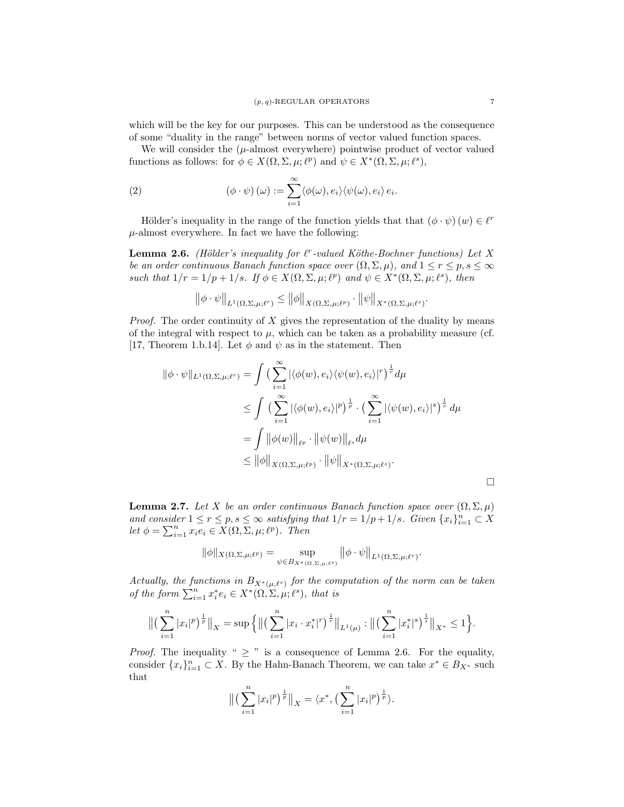which will be the key for our purposes. This can be understood as the consequence of some "duality in the range" between norms of vector valued function spaces.

We will consider the  $(\mu$ -almost everywhere) pointwise product of vector valued functions as follows: for  $\phi \in X(\Omega, \Sigma, \mu; \ell^p)$  and  $\psi \in X^*(\Omega, \Sigma, \mu; \ell^s)$ ,

(2) 
$$
(\phi \cdot \psi) (\omega) := \sum_{i=1}^{\infty} \langle \phi(\omega), e_i \rangle \langle \psi(\omega), e_i \rangle e_i.
$$

Hölder's inequality in the range of the function yields that that  $(\phi \cdot \psi)(w) \in \ell^r$  $\mu$ -almost everywhere. In fact we have the following:

**Lemma 2.6.** (Hölder's inequality for  $\ell^r$ -valued Köthe-Bochner functions) Let X be an order continuous Banach function space over  $(\Omega, \Sigma, \mu)$ , and  $1 \le r \le p, s \le \infty$ such that  $1/r = 1/p + 1/s$ . If  $\phi \in X(\Omega, \Sigma, \mu; \ell^p)$  and  $\psi \in X^*(\Omega, \Sigma, \mu; \ell^s)$ , then

$$
\left\|\phi \cdot \psi\right\|_{L^1(\Omega,\Sigma,\mu;\ell^r)} \le \left\|\phi\right\|_{X(\Omega,\Sigma,\mu;\ell^p)} \cdot \left\|\psi\right\|_{X^*(\Omega,\Sigma,\mu;\ell^s)}
$$

*Proof.* The order continuity of  $X$  gives the representation of the duality by means of the integral with respect to  $\mu$ , which can be taken as a probability measure (cf. [17, Theorem 1.b.14]. Let  $\phi$  and  $\psi$  as in the statement. Then

$$
\begin{aligned}\n\|\phi \cdot \psi\|_{L^1(\Omega,\Sigma,\mu;\ell^r)} &= \int \left(\sum_{i=1}^{\infty} |\langle \phi(w), e_i \rangle \langle \psi(w), e_i \rangle|^r \right)^{\frac{1}{r}} d\mu \\
&\leq \int \left(\sum_{i=1}^{\infty} |\langle \phi(w), e_i \rangle|^p \right)^{\frac{1}{p}} \cdot \left(\sum_{i=1}^{\infty} |\langle \psi(w), e_i \rangle|^s \right)^{\frac{1}{s}} d\mu \\
&= \int \|\phi(w)\|_{\ell^p} \cdot \|\psi(w)\|_{\ell^s} d\mu \\
&\leq \|\phi\|_{X(\Omega,\Sigma,\mu;\ell^p)} \cdot \|\psi\|_{X^*(\Omega,\Sigma,\mu;\ell^s)}.\n\end{aligned}
$$

**Lemma 2.7.** Let X be an order continuous Banach function space over  $(\Omega, \Sigma, \mu)$ and consider  $1 \le r \le p$ ,  $s \le \infty$  satisfying that  $1/r = 1/p + 1/s$ . Given  $\{x_i\}_{i=1}^n \subset X$ let  $\phi = \sum_{i=1}^n x_i e_i \in X(\Omega, \Sigma, \mu; \ell^p)$ . Then

$$
\|\phi\|_{X(\Omega,\Sigma,\mu;\ell^p)} = \sup_{\psi \in B_{X^*(\Omega,\Sigma,\mu;\ell^s)}} \|\phi \cdot \psi\|_{L^1(\Omega,\Sigma,\mu;\ell^r)}.
$$

Actually, the functions in  $B_{X^*(\mu,\ell^s)}$  for the computation of the norm can be taken of the form  $\sum_{i=1}^n x_i^* e_i \in X^*(\Omega, \Sigma, \mu; \ell^s)$ , that is

$$
\left\| \left( \sum_{i=1}^n |x_i|^p \right)^{\frac{1}{p}} \right\|_X = \sup \left\{ \left\| \left( \sum_{i=1}^n |x_i \cdot x_i^*|^r \right)^{\frac{1}{r}} \right\|_{L^1(\mu)} : \left\| \left( \sum_{i=1}^n |x_i^*|^s \right)^{\frac{1}{s}} \right\|_{X^*} \leq 1 \right\}.
$$

*Proof.* The inequality "  $\geq$  " is a consequence of Lemma 2.6. For the equality, consider  $\{x_i\}_{i=1}^n \subset X$ . By the Hahn-Banach Theorem, we can take  $x^* \in B_{X^*}$  such that

$$
\left\| \left( \sum_{i=1}^n |x_i|^p \right)^{\frac{1}{p}} \right\|_X = \langle x^*, \left( \sum_{i=1}^n |x_i|^p \right)^{\frac{1}{p}} \rangle.
$$

.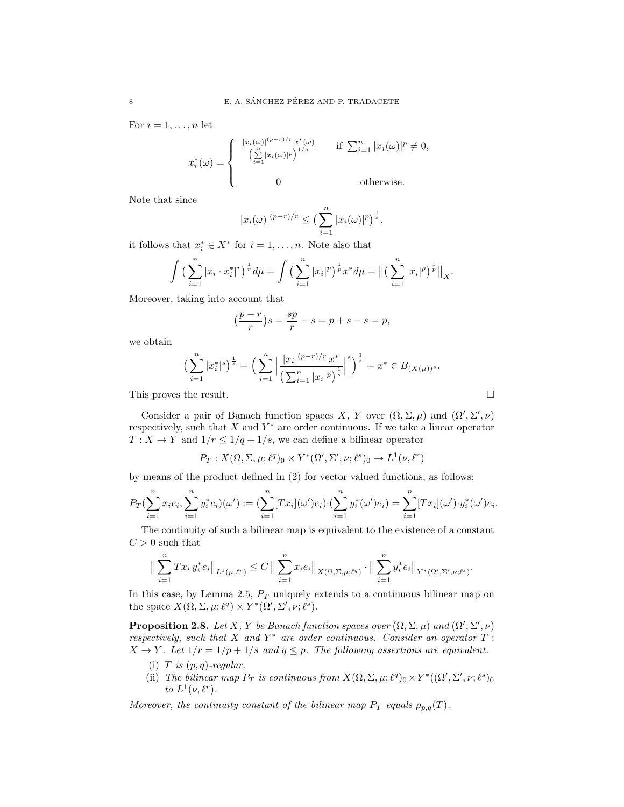For  $i = 1, \ldots, n$  let

$$
x_i^*(\omega) = \begin{cases} \frac{|x_i(\omega)|^{(p-r)/r} x^*(\omega)}{\left(\sum\limits_{i=1}^n |x_i(\omega)|^p\right)^{1/s}} & \text{if } \sum_{i=1}^n |x_i(\omega)|^p \neq 0, \\ 0 & \text{otherwise.} \end{cases}
$$

Note that since

$$
|x_i(\omega)|^{(p-r)/r} \leq \left(\sum_{i=1}^n |x_i(\omega)|^p\right)^{\frac{1}{s}},
$$

it follows that  $x_i^* \in X^*$  for  $i = 1, ..., n$ . Note also that

$$
\int \left(\sum_{i=1}^n |x_i \cdot x_i^*|^r\right)^{\frac{1}{r}} d\mu = \int \left(\sum_{i=1}^n |x_i|^p\right)^{\frac{1}{p}} x^* d\mu = \left\| \left(\sum_{i=1}^n |x_i|^p\right)^{\frac{1}{p}} \right\|_X.
$$

Moreover, taking into account that

$$
\left(\frac{p-r}{r}\right)s = \frac{sp}{r} - s = p + s - s = p,
$$

we obtain

$$
\left(\sum_{i=1}^n |x_i^*|^s\right)^{\frac{1}{s}} = \left(\sum_{i=1}^n \left|\frac{|x_i|^{(p-r)/r}x^*}{\left(\sum_{i=1}^n |x_i|^p\right)^{\frac{1}{s}}}\right|^s\right)^{\frac{1}{s}} = x^* \in B_{(X(\mu))^*}.
$$

This proves the result.

Consider a pair of Banach function spaces X, Y over  $(\Omega, \Sigma, \mu)$  and  $(\Omega', \Sigma', \nu)$ respectively, such that  $X$  and  $Y^*$  are order continuous. If we take a linear operator  $T: X \to Y$  and  $1/r \leq 1/q + 1/s$ , we can define a bilinear operator

$$
P_T: X(\Omega, \Sigma, \mu; \ell^q)_0 \times Y^*(\Omega', \Sigma', \nu; \ell^s)_0 \to L^1(\nu, \ell^r)
$$

by means of the product defined in (2) for vector valued functions, as follows:

$$
P_T(\sum_{i=1}^n x_i e_i, \sum_{i=1}^n y_i^* e_i)(\omega') := (\sum_{i=1}^n [Tx_i](\omega') e_i) \cdot (\sum_{i=1}^n y_i^* (\omega') e_i) = \sum_{i=1}^n [Tx_i](\omega') \cdot y_i^* (\omega') e_i.
$$

The continuity of such a bilinear map is equivalent to the existence of a constant  $C > 0$  such that

$$
\|\sum_{i=1}^n Tx_i y_i^* e_i\|_{L^1(\mu,\ell^r)} \leq C \|\sum_{i=1}^n x_i e_i\|_{X(\Omega,\Sigma,\mu;\ell^q)} \cdot \|\sum_{i=1}^n y_i^* e_i\|_{Y^*(\Omega',\Sigma',\nu;\ell^s)}.
$$

In this case, by Lemma 2.5,  $P_T$  uniquely extends to a continuous bilinear map on the space  $X(\Omega, \Sigma, \mu; \ell^q) \times Y^*(\Omega', \Sigma', \nu; \ell^s)$ .

**Proposition 2.8.** Let X, Y be Banach function spaces over  $(\Omega, \Sigma, \mu)$  and  $(\Omega', \Sigma', \nu)$ respectively, such that X and  $Y^*$  are order continuous. Consider an operator  $T$ :  $X \to Y$ . Let  $1/r = 1/p + 1/s$  and  $q \leq p$ . The following assertions are equivalent.

- (i) T is  $(p, q)$ -regular.
- (ii) The bilinear map  $P_T$  is continuous from  $X(\Omega, \Sigma, \mu; \ell^q)_0 \times Y^*((\Omega', \Sigma', \nu; \ell^s)_0$ to  $L^1(\nu, \ell^r)$ .

Moreover, the continuity constant of the bilinear map  $P_T$  equals  $\rho_{p,q}(T)$ .

$$
\Box
$$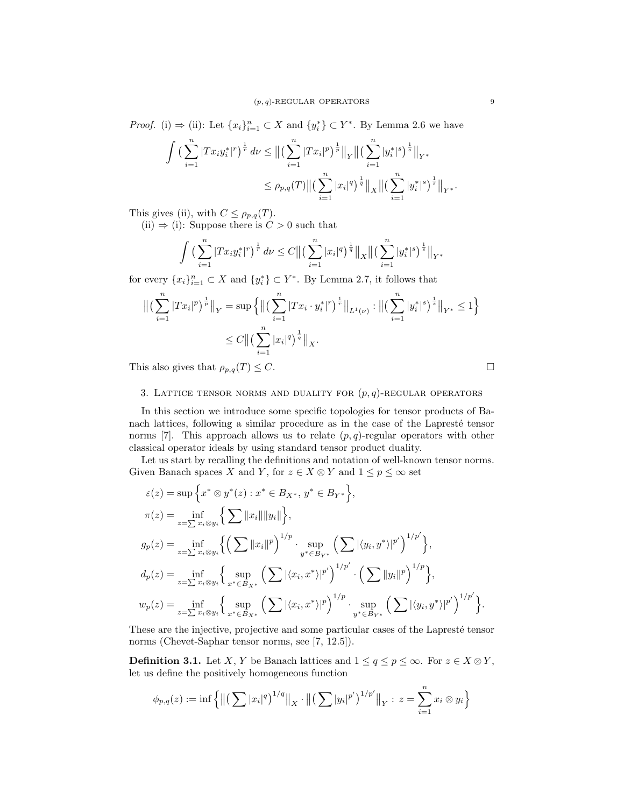*Proof.* (i)  $\Rightarrow$  (ii): Let  $\{x_i\}_{i=1}^n \subset X$  and  $\{y_i^*\} \subset Y^*$ . By Lemma 2.6 we have

$$
\int \left(\sum_{i=1}^n |Tx_i y_i^*|^r\right)^{\frac{1}{r}} d\nu \le \left\| \left(\sum_{i=1}^n |Tx_i|^p\right)^{\frac{1}{p}} \right\|_Y \left\| \left(\sum_{i=1}^n |y_i^*|^s\right)^{\frac{1}{s}} \right\|_{Y^*}
$$
  

$$
\le \rho_{p,q}(T) \left\| \left(\sum_{i=1}^n |x_i|^q\right)^{\frac{1}{q}} \right\|_X \left\| \left(\sum_{i=1}^n |y_i^*|^s\right)^{\frac{1}{s}} \right\|_{Y^*}.
$$

This gives (ii), with  $C \leq \rho_{p,q}(T)$ .

(ii)  $\Rightarrow$  (i): Suppose there is  $C > 0$  such that

$$
\int \left(\sum_{i=1}^n |Tx_i y_i^*|^r\right)^{\frac{1}{r}} d\nu \leq C \big\| \left(\sum_{i=1}^n |x_i|^q\right)^{\frac{1}{q}} \big\|_X \big\| \left(\sum_{i=1}^n |y_i^*|^s\right)^{\frac{1}{s}} \big\|_{Y^*}
$$

for every  $\{x_i\}_{i=1}^n \subset X$  and  $\{y_i^*\}\subset Y^*$ . By Lemma 2.7, it follows that

$$
\begin{aligned} \left\| \left( \sum_{i=1}^n |Tx_i|^p \right)^{\frac{1}{p}} \right\|_Y &= \sup \left\{ \left\| \left( \sum_{i=1}^n |Tx_i \cdot y_i^*|^r \right)^{\frac{1}{r}} \right\|_{L^1(\nu)} : \left\| \left( \sum_{i=1}^n |y_i^*|^s \right)^{\frac{1}{s}} \right\|_{Y^*} \le 1 \right\} \\ &\le C \left\| \left( \sum_{i=1}^n |x_i|^q \right)^{\frac{1}{q}} \right\|_X. \end{aligned}
$$

This also gives that  $\rho_{p,q}(T) \leq C$ .

### 3. LATTICE TENSOR NORMS AND DUALITY FOR  $(p, q)$ -REGULAR OPERATORS

In this section we introduce some specific topologies for tensor products of Banach lattices, following a similar procedure as in the case of the Lapresté tensor norms [7]. This approach allows us to relate  $(p, q)$ -regular operators with other classical operator ideals by using standard tensor product duality.

Let us start by recalling the definitions and notation of well-known tensor norms. Given Banach spaces X and Y, for  $z \in X \otimes Y$  and  $1 \leq p \leq \infty$  set

$$
\varepsilon(z) = \sup \left\{ x^* \otimes y^*(z) : x^* \in B_{X^*}, y^* \in B_{Y^*} \right\},
$$
  
\n
$$
\pi(z) = \inf_{z = \sum x_i \otimes y_i} \left\{ \sum ||x_i|| ||y_i|| \right\},
$$
  
\n
$$
g_p(z) = \inf_{z = \sum x_i \otimes y_i} \left\{ \left( \sum ||x_i||^p \right)^{1/p} \cdot \sup_{y^* \in B_{Y^*}} \left( \sum |\langle y_i, y^* \rangle |^{p'} \right)^{1/p'} \right\},
$$
  
\n
$$
d_p(z) = \inf_{z = \sum x_i \otimes y_i} \left\{ \sup_{x^* \in B_{X^*}} \left( \sum |\langle x_i, x^* \rangle |^{p'} \right)^{1/p'} \cdot \left( \sum ||y_i||^p \right)^{1/p} \right\},
$$
  
\n
$$
w_p(z) = \inf_{z = \sum x_i \otimes y_i} \left\{ \sup_{x^* \in B_{X^*}} \left( \sum |\langle x_i, x^* \rangle |^{p} \right)^{1/p} \cdot \sup_{y^* \in B_{Y^*}} \left( \sum |\langle y_i, y^* \rangle |^{p'} \right)^{1/p'} \right\}.
$$

These are the injective, projective and some particular cases of the Lapresté tensor norms (Chevet-Saphar tensor norms, see [7, 12.5]).

**Definition 3.1.** Let X, Y be Banach lattices and  $1 \le q \le p \le \infty$ . For  $z \in X \otimes Y$ , let us define the positively homogeneous function

$$
\phi_{p,q}(z) := \inf \left\{ \left\| \left( \sum |x_i|^q \right)^{1/q} \right\|_X \cdot \left\| \left( \sum |y_i|^{p'} \right)^{1/p'} \right\|_Y : z = \sum_{i=1}^n x_i \otimes y_i \right\}
$$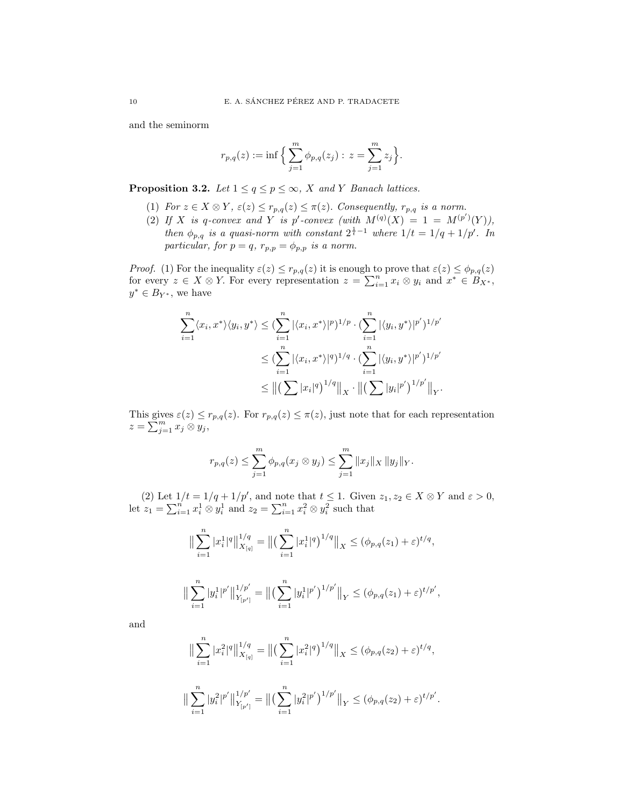and the seminorm

$$
r_{p,q}(z) := \inf \Big\{ \sum_{j=1}^m \phi_{p,q}(z_j) : z = \sum_{j=1}^m z_j \Big\}.
$$

**Proposition 3.2.** Let  $1 \le q \le p \le \infty$ , X and Y Banach lattices.

- (1) For  $z \in X \otimes Y$ ,  $\varepsilon(z) \leq r_{p,q}(z) \leq \pi(z)$ . Consequently,  $r_{p,q}$  is a norm.
- (2) If X is q-convex and Y is p'-convex (with  $M^{(q)}(X) = 1 = M^{(p')}(Y)$ ), then  $\phi_{p,q}$  is a quasi-norm with constant  $2^{\frac{1}{t}-1}$  where  $1/t = 1/q + 1/p'$ . In particular, for  $p = q$ ,  $r_{p,p} = \phi_{p,p}$  is a norm.

*Proof.* (1) For the inequality  $\varepsilon(z) \leq r_{p,q}(z)$  it is enough to prove that  $\varepsilon(z) \leq \phi_{p,q}(z)$ for every  $z \in X \otimes Y$ . For every representation  $z = \sum_{i=1}^{n} x_i \otimes y_i$  and  $x^* \in B_{X^*}$ ,  $y^* \in B_{Y^*}$ , we have

$$
\sum_{i=1}^{n} \langle x_i, x^* \rangle \langle y_i, y^* \rangle \leq \left( \sum_{i=1}^{n} |\langle x_i, x^* \rangle|^p \right)^{1/p} \cdot \left( \sum_{i=1}^{n} |\langle y_i, y^* \rangle|^{p'} \right)^{1/p'}
$$
  

$$
\leq \left( \sum_{i=1}^{n} |\langle x_i, x^* \rangle|^q \right)^{1/q} \cdot \left( \sum_{i=1}^{n} |\langle y_i, y^* \rangle|^{p'} \right)^{1/p'}
$$
  

$$
\leq ||(\sum |x_i|^q)^{1/q}||_X \cdot ||(\sum |y_i|^{p'})^{1/p'}||_Y.
$$

This gives  $\varepsilon(z) \leq r_{p,q}(z)$ . For  $r_{p,q}(z) \leq \pi(z)$ , just note that for each representation  $z=\sum_{j=1}^m x_j\overset{\cdot}{\otimes} \overline{y_j},$ 

$$
r_{p,q}(z) \leq \sum_{j=1}^m \phi_{p,q}(x_j \otimes y_j) \leq \sum_{j=1}^m \|x_j\|_X \|y_j\|_Y.
$$

(2) Let  $1/t = 1/q + 1/p'$ , and note that  $t \leq 1$ . Given  $z_1, z_2 \in X \otimes Y$  and  $\varepsilon > 0$ , let  $z_1 = \sum_{i=1}^n x_i^1 \otimes y_i^1$  and  $z_2 = \sum_{i=1}^n x_i^2 \otimes y_i^2$  such that

$$
\|\sum_{i=1}^n |x_i^1|^q \|_{X_{[q]}}^{1/q} = \| \left( \sum_{i=1}^n |x_i^1|^q \right)^{1/q} \|_X \le (\phi_{p,q}(z_1) + \varepsilon)^{t/q},
$$
  

$$
\|\sum_{i=1}^n |y_i^1|^{p'} \|_{Y_{[p']}}^{1/p'} = \| \left( \sum_{i=1}^n |y_i^1|^{p'} \right)^{1/p'} \|_Y \le (\phi_{p,q}(z_1) + \varepsilon)^{t/p'},
$$

and

$$
\|\sum_{i=1}^n |x_i^2|^q\|_{X_{[q]}}^{1/q} = \|(\sum_{i=1}^n |x_i^2|^q)^{1/q}\|_X \leq (\phi_{p,q}(z_2) + \varepsilon)^{t/q},
$$
  

$$
\|\sum_{i=1}^n |y_i^2|^{p'}\|_{Y_{[p']}}^{1/p'} = \|(\sum_{i=1}^n |y_i^2|^{p'})^{1/p'}\|_Y \leq (\phi_{p,q}(z_2) + \varepsilon)^{t/p'}.
$$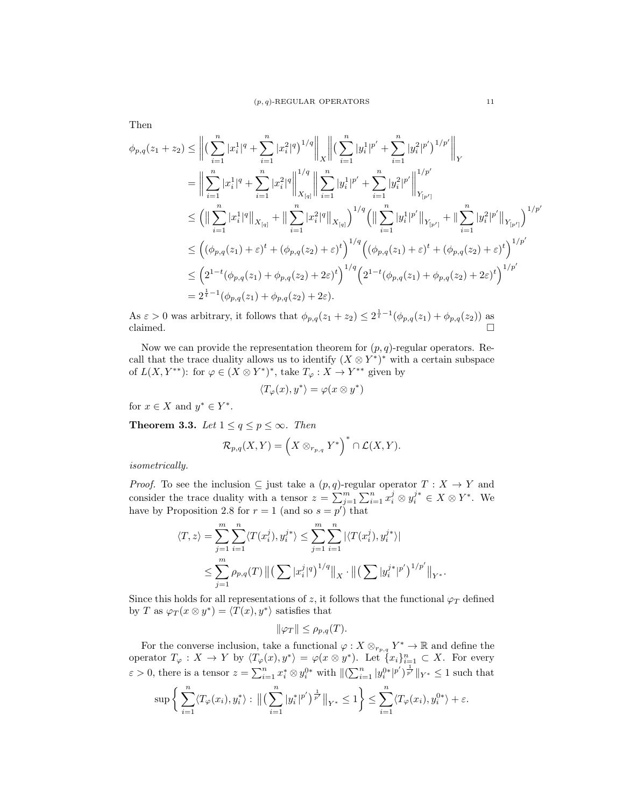$$
\phi_{p,q}(z_1 + z_2) \leq \left\| \left( \sum_{i=1}^n |x_i^1|^q + \sum_{i=1}^n |x_i^2|^q \right)^{1/q} \right\|_X \left\| \left( \sum_{i=1}^n |y_i^1|^{p'} + \sum_{i=1}^n |y_i^2|^{p'} \right)^{1/p'} \right\|_Y
$$
\n
$$
= \left\| \sum_{i=1}^n |x_i^1|^q + \sum_{i=1}^n |x_i^2|^q \right\|_{X_{[q]}}^{1/q} \left\| \sum_{i=1}^n |y_i^1|^{p'} + \sum_{i=1}^n |y_i^2|^{p'} \right\|_{Y_{[p']}}^{1/p'}
$$
\n
$$
\leq \left( \left\| \sum_{i=1}^n |x_i^1|^q \right\|_{X_{[q]}} + \left\| \sum_{i=1}^n |x_i^2|^q \right\|_{X_{[q]}} \right)^{1/q} \left( \left\| \sum_{i=1}^n |y_i^1|^{p'} \right\|_{Y_{[p']}} + \left\| \sum_{i=1}^n |y_i^2|^{p'} \right\|_{Y_{[p']}} \right)^{1/p'}
$$
\n
$$
\leq \left( (\phi_{p,q}(z_1) + \varepsilon)^t + (\phi_{p,q}(z_2) + \varepsilon)^t \right)^{1/q} \left( (\phi_{p,q}(z_1) + \varepsilon)^t + (\phi_{p,q}(z_2) + \varepsilon)^t \right)^{1/p'}
$$
\n
$$
\leq \left( 2^{1-t} (\phi_{p,q}(z_1) + \phi_{p,q}(z_2) + 2\varepsilon)^t \right)^{1/q} \left( 2^{1-t} (\phi_{p,q}(z_1) + \phi_{p,q}(z_2) + 2\varepsilon)^t \right)^{1/p'}
$$
\n
$$
= 2^{\frac{1}{t} - 1} (\phi_{p,q}(z_1) + \phi_{p,q}(z_2) + 2\varepsilon).
$$

As  $\varepsilon > 0$  was arbitrary, it follows that  $\phi_{p,q}(z_1 + z_2) \leq 2^{\frac{1}{t}-1}(\phi_{p,q}(z_1) + \phi_{p,q}(z_2))$  as claimed.  $\Box$ 

Now we can provide the representation theorem for  $(p, q)$ -regular operators. Recall that the trace duality allows us to identify  $(X \otimes Y^*)^*$  with a certain subspace of  $L(X, Y^{**})$ : for  $\varphi \in (X \otimes Y^*)^*$ , take  $T_{\varphi}: X \to Y^{**}$  given by

$$
\langle T_{\varphi}(x), y^* \rangle = \varphi(x \otimes y^*)
$$

for  $x \in X$  and  $y^* \in Y^*$ .

**Theorem 3.3.** Let  $1 \leq q \leq p \leq \infty$ . Then

$$
\mathcal{R}_{p,q}(X,Y)=\Big(X\otimes_{r_{p,q}}Y^*\Big)^*\cap \mathcal{L}(X,Y).
$$

isometrically.

*Proof.* To see the inclusion  $\subseteq$  just take a  $(p, q)$ -regular operator  $T : X \to Y$  and consider the trace duality with a tensor  $z = \sum_{j=1}^m \sum_{i=1}^n x_i^j \otimes y_i^{j*} \in X \otimes Y^*$ . We have by Proposition 2.8 for  $r = 1$  (and so  $s = p'$ ) that

$$
\langle T, z \rangle = \sum_{j=1}^{m} \sum_{i=1}^{n} \langle T(x_i^j), y_i^{j*} \rangle \le \sum_{j=1}^{m} \sum_{i=1}^{n} |\langle T(x_i^j), y_i^{j*} \rangle|
$$
  

$$
\le \sum_{j=1}^{m} \rho_{p,q}(T) \| \left( \sum |x_i^j|^q \right)^{1/q} \|_{X} \cdot \| \left( \sum |y_i^{j*}|^{p'} \right)^{1/p'} \|_{Y^*}.
$$

Since this holds for all representations of z, it follows that the functional  $\varphi_T$  defined by T as  $\varphi_T(x \otimes y^*) = \langle T(x), y^* \rangle$  satisfies that

$$
\|\varphi_T\| \le \rho_{p,q}(T).
$$

For the converse inclusion, take a functional  $\varphi: X \otimes_{r_{p,q}} Y^* \to \mathbb{R}$  and define the operator  $T_{\varphi}: X \to Y$  by  $\langle T_{\varphi}(x), y^* \rangle = \varphi(x \otimes y^*)$ . Let  $\{x_i\}_{i=1}^n \subset X$ . For every  $\varepsilon > 0$ , there is a tensor  $z = \sum_{i=1}^n x_i^* \otimes y_i^{0*}$  with  $\|(\sum_{i=1}^n |y_i^{0*}|^{p'})^{\frac{1}{p'}}\|_{Y^*} \leq 1$  such that

$$
\sup \left\{ \sum_{i=1}^n \langle T_\varphi(x_i), y_i^* \rangle : \| \left( \sum_{i=1}^n |y_i^*|^{p'} \right)^{\frac{1}{p'}} \|_{Y^*} \leq 1 \right\} \leq \sum_{i=1}^n \langle T_\varphi(x_i), y_i^{0*} \rangle + \varepsilon.
$$

Then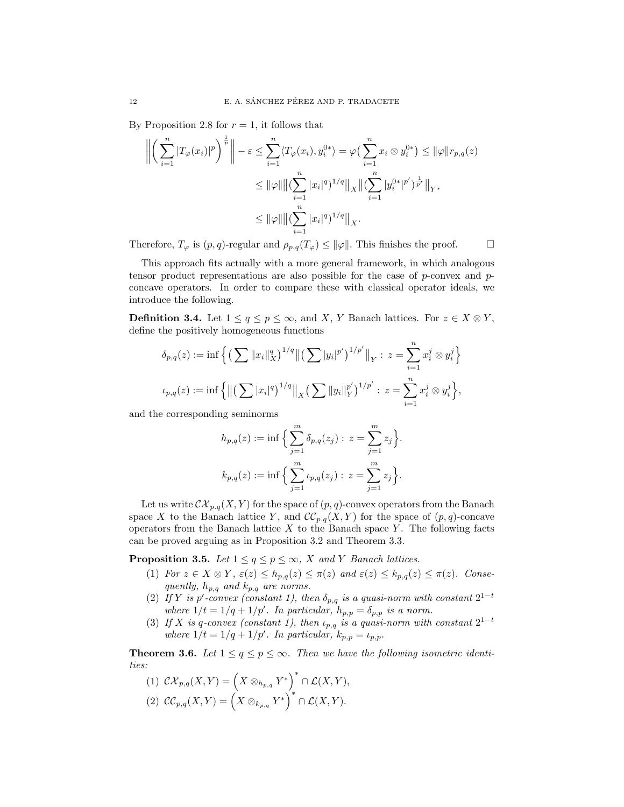By Proposition 2.8 for  $r = 1$ , it follows that

$$
\left\| \left( \sum_{i=1}^{n} |T_{\varphi}(x_i)|^p \right)^{\frac{1}{p}} \right\| - \varepsilon \le \sum_{i=1}^{n} \langle T_{\varphi}(x_i), y_i^{0*} \rangle = \varphi \left( \sum_{i=1}^{n} x_i \otimes y_i^{0*} \right) \le ||\varphi|| r_{p,q}(z)
$$
  

$$
\le ||\varphi|| ||(\sum_{i=1}^{n} |x_i|^q)^{1/q} ||_X ||(\sum_{i=1}^{n} |y_i^{0*}|^{p'})^{\frac{1}{p'}} ||_{Y^*}
$$
  

$$
\le ||\varphi|| ||(\sum_{i=1}^{n} |x_i|^q)^{1/q} ||_X.
$$

Therefore,  $T_{\varphi}$  is  $(p, q)$ -regular and  $\rho_{p,q}(T_{\varphi}) \leq ||\varphi||$ . This finishes the proof.

This approach fits actually with a more general framework, in which analogous tensor product representations are also possible for the case of  $p$ -convex and  $p$ concave operators. In order to compare these with classical operator ideals, we introduce the following.

**Definition 3.4.** Let  $1 \le q \le p \le \infty$ , and X, Y Banach lattices. For  $z \in X \otimes Y$ , define the positively homogeneous functions

$$
\delta_{p,q}(z) := \inf \left\{ \left( \sum \|x_i\|_X^{q} \right)^{1/q} \left\| \left( \sum |y_i|^{p'} \right)^{1/p'} \right\|_Y : z = \sum_{i=1}^n x_i^j \otimes y_i^j \right\}
$$
  

$$
\iota_{p,q}(z) := \inf \left\{ \left\| \left( \sum |x_i|^q \right)^{1/q} \right\|_X \left( \sum \|y_i\|_Y^{p'} \right)^{1/p'} : z = \sum_{i=1}^n x_i^j \otimes y_i^j \right\},
$$

and the corresponding seminorms

$$
h_{p,q}(z) := \inf \Big\{ \sum_{j=1}^m \delta_{p,q}(z_j) : z = \sum_{j=1}^m z_j \Big\}.
$$
  

$$
k_{p,q}(z) := \inf \Big\{ \sum_{j=1}^m \iota_{p,q}(z_j) : z = \sum_{j=1}^m z_j \Big\}.
$$

Let us write  $\mathcal{CK}_{p,q}(X, Y)$  for the space of  $(p, q)$ -convex operators from the Banach space X to the Banach lattice Y, and  $\mathcal{CC}_{p,q}(X, Y)$  for the space of  $(p, q)$ -concave operators from the Banach lattice  $X$  to the Banach space  $Y$ . The following facts can be proved arguing as in Proposition 3.2 and Theorem 3.3.

**Proposition 3.5.** Let  $1 \le q \le p \le \infty$ , X and Y Banach lattices.

- (1) For  $z \in X \otimes Y$ ,  $\varepsilon(z) \leq h_{p,q}(z) \leq \pi(z)$  and  $\varepsilon(z) \leq k_{p,q}(z) \leq \pi(z)$ . Consequently,  $h_{p,q}\,$  and  $k_{p.q}\,$  are norms.
- (2) If Y is p'-convex (constant 1), then  $\delta_{p,q}$  is a quasi-norm with constant  $2^{1-t}$ where  $1/t = 1/q + 1/p'$ . In particular,  $h_{p,p} = \delta_{p,p}$  is a norm.
- (3) If X is q-convex (constant 1), then  $\iota_{p,q}$  is a quasi-norm with constant  $2^{1-t}$ where  $1/t = 1/q + 1/p'$ . In particular,  $k_{p,p} = \iota_{p,p}$ .

**Theorem 3.6.** Let  $1 \leq q \leq p \leq \infty$ . Then we have the following isometric identities:

$$
(1) \ \mathcal{C}\mathcal{X}_{p,q}(X,Y) = \left(X \otimes_{h_{p,q}} Y^*\right)^* \cap \mathcal{L}(X,Y),
$$
  

$$
(2) \ \mathcal{C}\mathcal{C}_{p,q}(X,Y) = \left(X \otimes_{k_{p,q}} Y^*\right)^* \cap \mathcal{L}(X,Y).
$$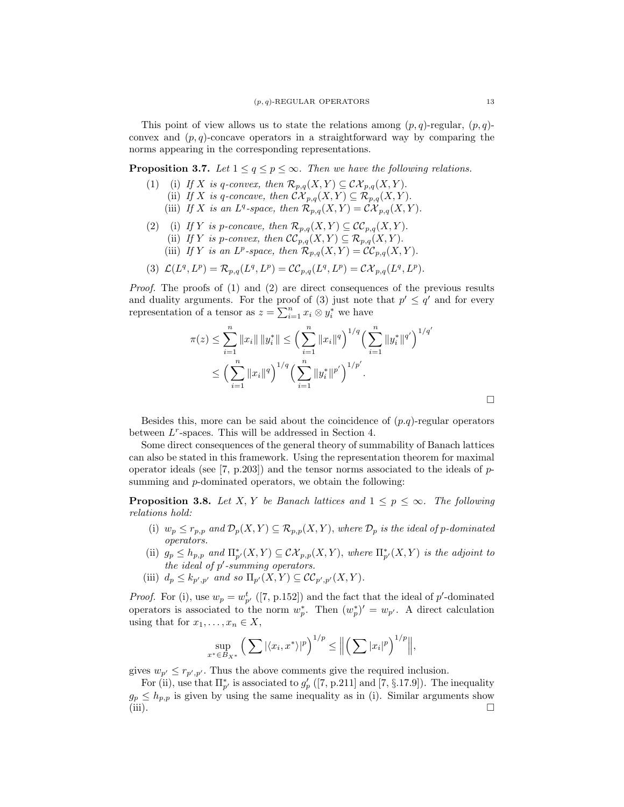This point of view allows us to state the relations among  $(p, q)$ -regular,  $(p, q)$ convex and  $(p, q)$ -concave operators in a straightforward way by comparing the norms appearing in the corresponding representations.

**Proposition 3.7.** Let  $1 \leq q \leq p \leq \infty$ . Then we have the following relations.

- (1) (i) If X is q-convex, then  $\mathcal{R}_{p,q}(X,Y) \subseteq \mathcal{CK}_{p,q}(X,Y)$ .
	- (ii) If X is q-concave, then  $\mathcal{CK}_{p,q}(X,Y) \subseteq \mathcal{R}_{p,q}(X,Y)$ .
	- (iii) If X is an  $L^q$ -space, then  $\mathcal{R}_{p,q}(X,Y) = \mathcal{C} \mathcal{X}_{p,q}(X,Y)$ .
- (2) (i) If Y is p-concave, then  $\mathcal{R}_{p,q}(X, Y) \subseteq \mathcal{CC}_{p,q}(X, Y)$ .
	- (ii) If Y is p-convex, then  $\mathcal{CC}_{p,q}(X,Y) \subseteq \mathcal{R}_{p,q}(X,Y)$ .
	- (iii) If Y is an  $L^p$ -space, then  $\mathcal{R}_{p,q}(X,Y) = \mathcal{CC}_{p,q}(X,Y)$ .

$$
(3) \ \mathcal{L}(L^q,L^p)=\mathcal{R}_{p,q}(L^q,L^p)=\mathcal{CC}_{p,q}(L^q,L^p)=\mathcal{CX}_{p,q}(L^q,L^p).
$$

Proof. The proofs of (1) and (2) are direct consequences of the previous results and duality arguments. For the proof of (3) just note that  $p' \leq q'$  and for every representation of a tensor as  $z = \sum_{i=1}^{n} x_i \otimes y_i^*$  we have

$$
\pi(z) \le \sum_{i=1}^n \|x_i\| \|y_i^*\| \le \left(\sum_{i=1}^n \|x_i\|^q\right)^{1/q} \left(\sum_{i=1}^n \|y_i^*\|^{q'}\right)^{1/q'}
$$
  

$$
\le \left(\sum_{i=1}^n \|x_i\|^q\right)^{1/q} \left(\sum_{i=1}^n \|y_i^*\|^{p'}\right)^{1/p'}.
$$

Besides this, more can be said about the coincidence of  $(p,q)$ -regular operators between  $L^r$ -spaces. This will be addressed in Section 4.

Some direct consequences of the general theory of summability of Banach lattices can also be stated in this framework. Using the representation theorem for maximal operator ideals (see [7, p.203]) and the tensor norms associated to the ideals of  $p$ summing and *p*-dominated operators, we obtain the following:

**Proposition 3.8.** Let X, Y be Banach lattices and  $1 \leq p \leq \infty$ . The following relations hold:

- (i)  $w_p \leq r_{p,p}$  and  $\mathcal{D}_p(X, Y) \subseteq \mathcal{R}_{p,p}(X, Y)$ , where  $\mathcal{D}_p$  is the ideal of p-dominated operators.
- (ii)  $g_p \le h_{p,p}$  and  $\Pi^*_{p'}(X,Y) \subseteq \mathcal{CK}_{p,p}(X,Y)$ , where  $\Pi^*_{p'}(X,Y)$  is the adjoint to the ideal of  $p'$ -summing operators.
- (iii)  $d_p \leq k_{p',p'}$  and so  $\Pi_{p'}(X,Y) \subseteq CC_{p',p'}(X,Y)$ .

*Proof.* For (i), use  $w_p = w_{p'}^t$  ([7, p.152]) and the fact that the ideal of p'-dominated operators is associated to the norm  $w_p^*$ . Then  $(w_p^*)' = w_{p'}$ . A direct calculation using that for  $x_1, \ldots, x_n \in X$ ,

$$
\sup_{x^* \in B_{X^*}} \left( \sum |\langle x_i, x^* \rangle|^p \right)^{1/p} \leq \left\| \left( \sum |x_i|^p \right)^{1/p} \right\|,
$$

gives  $w_{p'} \leq r_{p',p'}$ . Thus the above comments give the required inclusion.

For (ii), use that  $\Pi_{p'}^*$  is associated to  $g'_p$  ([7, p.211] and [7, §.17.9]). The inequality  $g_p \leq h_{p,p}$  is given by using the same inequality as in (i). Similar arguments show  $(iii)$ .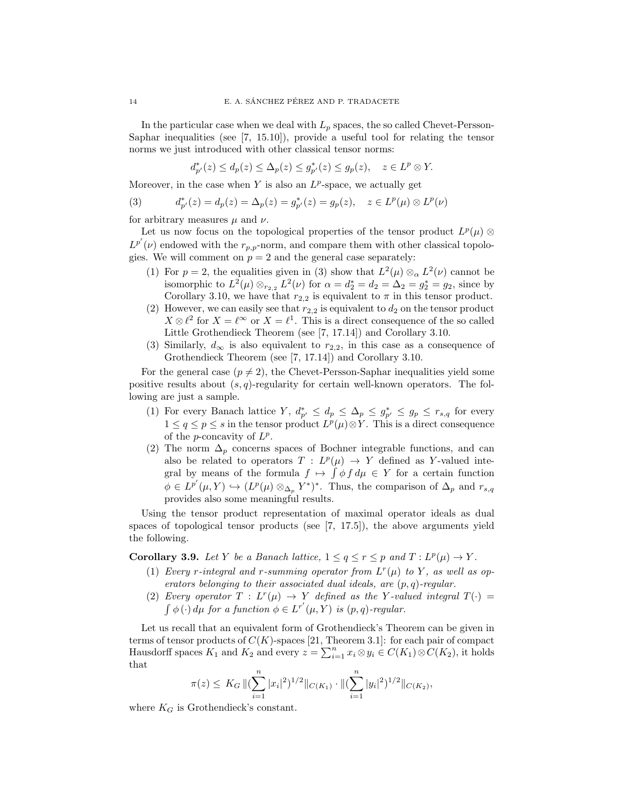In the particular case when we deal with  $L_p$  spaces, the so called Chevet-Persson-Saphar inequalities (see [7, 15.10]), provide a useful tool for relating the tensor norms we just introduced with other classical tensor norms:

$$
d_{p'}^*(z) \le d_p(z) \le \Delta_p(z) \le g_{p'}^*(z) \le g_p(z), \quad z \in L^p \otimes Y.
$$

Moreover, in the case when  $Y$  is also an  $L^p$ -space, we actually get

(3) 
$$
d_{p'}^*(z) = d_p(z) = \Delta_p(z) = g_{p'}^*(z) = g_p(z), \quad z \in L^p(\mu) \otimes L^p(\nu)
$$

for arbitrary measures  $\mu$  and  $\nu$ .

Let us now focus on the topological properties of the tensor product  $L^p(\mu)$  ⊗  $L^{p'}(\nu)$  endowed with the  $r_{p,p}$ -norm, and compare them with other classical topologies. We will comment on  $p = 2$  and the general case separately:

- (1) For  $p = 2$ , the equalities given in (3) show that  $L^2(\mu) \otimes_{\alpha} L^2(\nu)$  cannot be isomorphic to  $L^2(\mu) \otimes_{r_{2,2}} L^2(\nu)$  for  $\alpha = d_2^* = d_2 = \Delta_2 = g_2^* = g_2$ , since by Corollary 3.10, we have that  $r_{2,2}$  is equivalent to  $\pi$  in this tensor product.
- (2) However, we can easily see that  $r_{2,2}$  is equivalent to  $d_2$  on the tensor product  $X \otimes \ell^2$  for  $X = \ell^{\infty}$  or  $X = \ell^1$ . This is a direct consequence of the so called Little Grothendieck Theorem (see [7, 17.14]) and Corollary 3.10.
- (3) Similarly,  $d_{\infty}$  is also equivalent to  $r_{2,2}$ , in this case as a consequence of Grothendieck Theorem (see [7, 17.14]) and Corollary 3.10.

For the general case  $(p \neq 2)$ , the Chevet-Persson-Saphar inequalities yield some positive results about  $(s, q)$ -regularity for certain well-known operators. The following are just a sample.

- (1) For every Banach lattice Y,  $d_{p'}^* \leq d_p \leq \Delta_p \leq g_{p'}^* \leq g_p \leq r_{s,q}$  for every  $1 \leq q \leq p \leq s$  in the tensor product  $L^p(\mu) \otimes Y$ . This is a direct consequence of the *p*-concavity of  $L^p$ .
- (2) The norm  $\Delta_p$  concerns spaces of Bochner integrable functions, and can also be related to operators  $T: L^p(\mu) \to Y$  defined as Y-valued integral by means of the formula  $f \mapsto \int \phi f d\mu \in Y$  for a certain function  $\phi \in L^{p'}(\mu, Y) \hookrightarrow (L^p(\mu) \otimes_{\Delta_p} Y^*)^*$ . Thus, the comparison of  $\Delta_p$  and  $r_{s,q}$ provides also some meaningful results.

Using the tensor product representation of maximal operator ideals as dual spaces of topological tensor products (see [7, 17.5]), the above arguments yield the following.

**Corollary 3.9.** Let Y be a Banach lattice,  $1 \le q \le r \le p$  and  $T: L^p(\mu) \to Y$ .

- (1) Every r-integral and r-summing operator from  $L^r(\mu)$  to Y, as well as operators belonging to their associated dual ideals, are  $(p, q)$ -regular.
- (2) Every operator  $T: L^r(\mu) \to Y$  defined as the Y-valued integral  $T(\cdot) =$  $\int \phi(\cdot) d\mu$  for a function  $\phi \in L^{r'}(\mu, Y)$  is  $(p, q)$ -regular.

Let us recall that an equivalent form of Grothendieck's Theorem can be given in terms of tensor products of  $C(K)$ -spaces [21, Theorem 3.1]: for each pair of compact Hausdorff spaces  $K_1$  and  $K_2$  and every  $z = \sum_{i=1}^n x_i \otimes y_i \in C(K_1) \otimes C(K_2)$ , it holds that

$$
\pi(z) \leq K_G \, \|\left(\sum_{i=1}^n |x_i|^2\right)^{1/2} \|_{C(K_1)} \cdot \|\left(\sum_{i=1}^n |y_i|^2\right)^{1/2} \|_{C(K_2)},
$$

where  $K_G$  is Grothendieck's constant.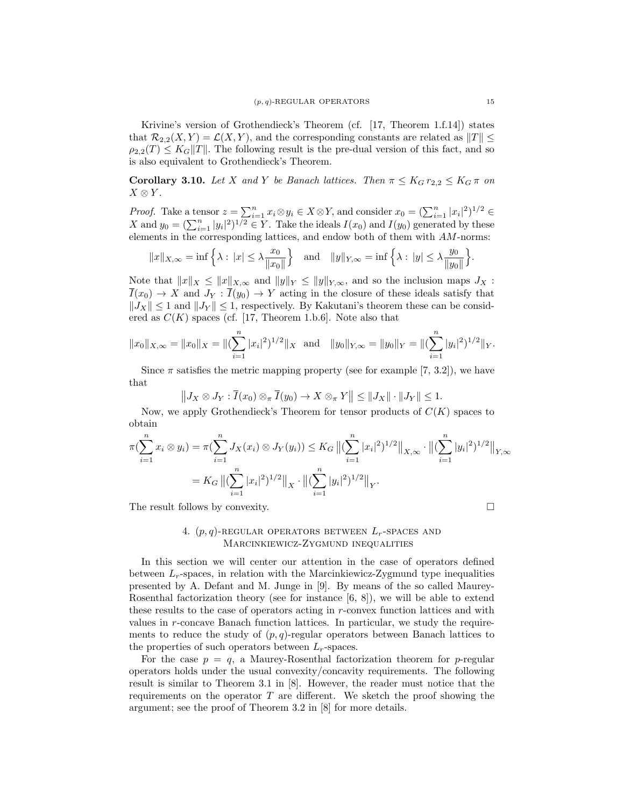Krivine's version of Grothendieck's Theorem (cf. [17, Theorem 1.f.14]) states that  $\mathcal{R}_{2,2}(X, Y) = \mathcal{L}(X, Y)$ , and the corresponding constants are related as  $||T|| \le$  $\rho_{2,2}(T) \leq K_G ||T||$ . The following result is the pre-dual version of this fact, and so is also equivalent to Grothendieck's Theorem.

**Corollary 3.10.** Let X and Y be Banach lattices. Then  $\pi \leq K_G r_{2,2} \leq K_G \pi$  on  $X \otimes Y$ .

*Proof.* Take a tensor  $z = \sum_{i=1}^{n} x_i \otimes y_i \in X \otimes Y$ , and consider  $x_0 = (\sum_{i=1}^{n} |x_i|^2)^{1/2} \in$ X and  $y_0 = (\sum_{i=1}^n |y_i|^2)^{1/2} \in Y$ . Take the ideals  $I(x_0)$  and  $I(y_0)$  generated by these elements in the corresponding lattices, and endow both of them with AM-norms:

$$
||x||_{X,\infty} = \inf \left\{ \lambda : |x| \le \lambda \frac{x_0}{||x_0||} \right\}
$$
 and  $||y||_{Y,\infty} = \inf \left\{ \lambda : |y| \le \lambda \frac{y_0}{||y_0||} \right\}.$ 

Note that  $||x||_X \le ||x||_{X,\infty}$  and  $||y||_Y \le ||y||_{Y,\infty}$ , and so the inclusion maps  $J_X$ :  $\overline{I}(x_0) \to X$  and  $J_Y : \overline{I}(y_0) \to Y$  acting in the closure of these ideals satisfy that  $||J_X|| \leq 1$  and  $||J_Y|| \leq 1$ , respectively. By Kakutani's theorem these can be considered as  $C(K)$  spaces (cf. [17, Theorem 1.b.6]. Note also that

$$
||x_0||_{X,\infty} = ||x_0||_X = ||(\sum_{i=1}^n |x_i|^2)^{1/2}||_X
$$
 and  $||y_0||_{Y,\infty} = ||y_0||_Y = ||(\sum_{i=1}^n |y_i|^2)^{1/2}||_Y$ .

Since  $\pi$  satisfies the metric mapping property (see for example [7, 3.2]), we have that

$$
||J_X \otimes J_Y : \overline{I}(x_0) \otimes_{\pi} \overline{I}(y_0) \to X \otimes_{\pi} Y|| \leq ||J_X|| \cdot ||J_Y|| \leq 1.
$$

Now, we apply Grothendieck's Theorem for tensor products of  $C(K)$  spaces to obtain

$$
\pi(\sum_{i=1}^{n} x_i \otimes y_i) = \pi(\sum_{i=1}^{n} J_X(x_i) \otimes J_Y(y_i)) \leq K_G \left\| (\sum_{i=1}^{n} |x_i|^2)^{1/2} \right\|_{X,\infty} \cdot \left\| (\sum_{i=1}^{n} |y_i|^2)^{1/2} \right\|_{Y,\infty}
$$

$$
= K_G \left\| (\sum_{i=1}^{n} |x_i|^2)^{1/2} \right\|_{X} \cdot \left\| (\sum_{i=1}^{n} |y_i|^2)^{1/2} \right\|_{Y}.
$$

The result follows by convexity.

# 4.  $(p, q)$ -REGULAR OPERATORS BETWEEN  $L_r$ -SPACES AND Marcinkiewicz-Zygmund inequalities

In this section we will center our attention in the case of operators defined between  $L_r$ -spaces, in relation with the Marcinkiewicz-Zygmund type inequalities presented by A. Defant and M. Junge in [9]. By means of the so called Maurey-Rosenthal factorization theory (see for instance [6, 8]), we will be able to extend these results to the case of operators acting in  $r$ -convex function lattices and with values in r-concave Banach function lattices. In particular, we study the requirements to reduce the study of  $(p, q)$ -regular operators between Banach lattices to the properties of such operators between  $L_r$ -spaces.

For the case  $p = q$ , a Maurey-Rosenthal factorization theorem for p-regular operators holds under the usual convexity/concavity requirements. The following result is similar to Theorem 3.1 in [8]. However, the reader must notice that the requirements on the operator  $T$  are different. We sketch the proof showing the argument; see the proof of Theorem 3.2 in [8] for more details.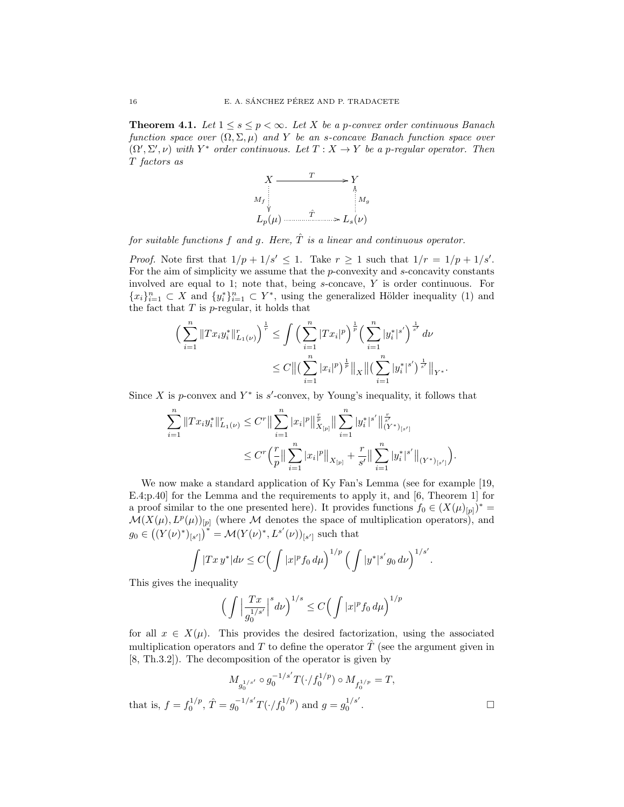**Theorem 4.1.** Let  $1 \leq s \leq p < \infty$ . Let X be a p-convex order continuous Banach function space over  $(\Omega, \Sigma, \mu)$  and Y be an s-concave Banach function space over  $(\Omega', \Sigma', \nu)$  with Y<sup>\*</sup> order continuous. Let  $T : X \to Y$  be a p-regular operator. Then T factors as



for suitable functions f and g. Here,  $\hat{T}$  is a linear and continuous operator.

*Proof.* Note first that  $1/p + 1/s' \leq 1$ . Take  $r \geq 1$  such that  $1/r = 1/p + 1/s'$ . For the aim of simplicity we assume that the  $p$ -convexity and  $s$ -concavity constants involved are equal to 1; note that, being s-concave, Y is order continuous. For  ${x_i}_{i=1}^n \subset X$  and  ${y_i^*}_{i=1}^n \subset Y^*$ , using the generalized Hölder inequality (1) and the fact that  $T$  is  $p$ -regular, it holds that

$$
\left(\sum_{i=1}^{n} \|Tx_i y_i^*\|_{L_1(\nu)}^r\right)^{\frac{1}{r}} \leq \int \left(\sum_{i=1}^{n} |Tx_i|^p\right)^{\frac{1}{p}} \left(\sum_{i=1}^{n} |y_i^*|^{s'}\right)^{\frac{1}{s'}} d\nu
$$
  

$$
\leq C \|\left(\sum_{i=1}^{n} |x_i|^p\right)^{\frac{1}{p}} \|_X \|\left(\sum_{i=1}^{n} |y_i^*|^{s'}\right)^{\frac{1}{s'}} \|_{Y^*}
$$

.

Since X is p-convex and  $Y^*$  is s'-convex, by Young's inequality, it follows that

$$
\begin{split} \sum_{i=1}^n \|Tx_iy_i^*\|_{L_1(\nu)}^r &\leq C^r \big\| \sum_{i=1}^n |x_i|^p \big\|_{X_{[p]}}^{\frac{r}{p}} \big\| \sum_{i=1}^n |y_i^*|^{s'} \big\|_{(Y^*)_{[s']}}^{\frac{r}{s'}} \\ &\leq C^r \Big( \frac{r}{p} \big\| \sum_{i=1}^n |x_i|^p \big\|_{X_{[p]}} + \frac{r}{s'} \big\| \sum_{i=1}^n |y_i^*|^{s'} \big\|_{(Y^*)_{[s']}} \Big). \end{split}
$$

We now make a standard application of Ky Fan's Lemma (see for example [19, E.4;p.40] for the Lemma and the requirements to apply it, and [6, Theorem 1] for a proof similar to the one presented here). It provides functions  $f_0 \in (X(\mu)_{[p]})^* =$  $\mathcal{M}(X(\mu), L^p(\mu))_{[p]}$  (where M denotes the space of multiplication operators), and  $g_0 \in ((Y(\nu)^*)_{[s']})^* = \mathcal{M}(Y(\nu)^*, L^{s'}(\nu))_{[s']}$  such that

$$
\int |Tx y^*| d\nu \le C \Big( \int |x|^p f_0 d\mu \Big)^{1/p} \Big( \int |y^*|^{s'} g_0 d\nu \Big)^{1/s'}.
$$

This gives the inequality

that is,

$$
\left(\int \left|\frac{Tx}{g_0^{1/s'}}\right|^s d\nu\right)^{1/s} \le C \left(\int |x|^p f_0 d\mu\right)^{1/p}
$$

for all  $x \in X(\mu)$ . This provides the desired factorization, using the associated multiplication operators and T to define the operator  $\hat{T}$  (see the argument given in [8, Th.3.2]). The decomposition of the operator is given by

$$
M_{g_0^{1/s'}} \circ g_0^{-1/s'} T(\cdot/f_0^{1/p}) \circ M_{f_0^{1/p}} = T,
$$
  

$$
f = f_0^{1/p}, \hat{T} = g_0^{-1/s'} T(\cdot/f_0^{1/p}) \text{ and } g = g_0^{1/s'}.
$$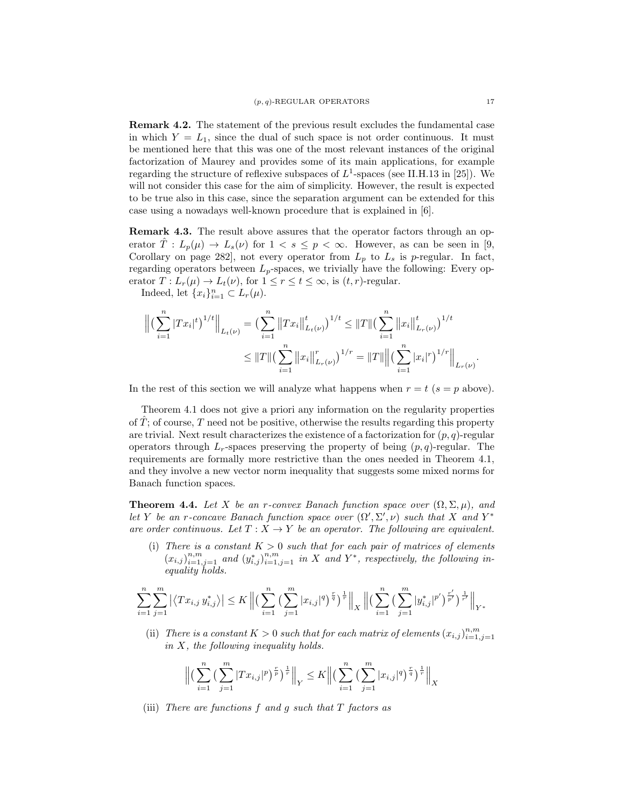Remark 4.2. The statement of the previous result excludes the fundamental case in which  $Y = L_1$ , since the dual of such space is not order continuous. It must be mentioned here that this was one of the most relevant instances of the original factorization of Maurey and provides some of its main applications, for example regarding the structure of reflexive subspaces of  $L^1$ -spaces (see II.H.13 in [25]). We will not consider this case for the aim of simplicity. However, the result is expected to be true also in this case, since the separation argument can be extended for this case using a nowadays well-known procedure that is explained in [6].

Remark 4.3. The result above assures that the operator factors through an operator  $\hat{T}: L_p(\mu) \to L_s(\nu)$  for  $1 < s \leq p < \infty$ . However, as can be seen in [9, Corollary on page 282], not every operator from  $L_p$  to  $L_s$  is p-regular. In fact, regarding operators between  $L_p$ -spaces, we trivially have the following: Every operator  $T: L_r(\mu) \to L_t(\nu)$ , for  $1 \leq r \leq t \leq \infty$ , is  $(t, r)$ -regular.

Indeed, let  $\{x_i\}_{i=1}^n \subset L_r(\mu)$ .

$$
\left\| \left( \sum_{i=1}^n |Tx_i|^t \right)^{1/t} \right\|_{L_t(\nu)} = \left( \sum_{i=1}^n \left\| Tx_i \right\|_{L_t(\nu)}^t \right)^{1/t} \leq \|T\| \left( \sum_{i=1}^n \left\| x_i \right\|_{L_r(\nu)}^t \right)^{1/t}
$$
  

$$
\leq \|T\| \left( \sum_{i=1}^n \left\| x_i \right\|_{L_r(\nu)}^r \right)^{1/r} = \|T\| \left\| \left( \sum_{i=1}^n |x_i|^r \right)^{1/r} \right\|_{L_r(\nu)}.
$$

In the rest of this section we will analyze what happens when  $r = t$  ( $s = p$  above).

Theorem 4.1 does not give a priori any information on the regularity properties of  $T$ ; of course,  $T$  need not be positive, otherwise the results regarding this property are trivial. Next result characterizes the existence of a factorization for  $(p, q)$ -regular operators through  $L_r$ -spaces preserving the property of being  $(p, q)$ -regular. The requirements are formally more restrictive than the ones needed in Theorem 4.1, and they involve a new vector norm inequality that suggests some mixed norms for Banach function spaces.

**Theorem 4.4.** Let X be an r-convex Banach function space over  $(\Omega, \Sigma, \mu)$ , and let Y be an r-concave Banach function space over  $(\Omega', \Sigma', \nu)$  such that X and Y<sup>\*</sup> are order continuous. Let  $T : X \to Y$  be an operator. The following are equivalent.

(i) There is a constant  $K > 0$  such that for each pair of matrices of elements  $(x_{i,j})_{i=1,j=1}^{n,m}$  and  $(y_{i,j}^*)_{i=1,j=1}^{n,m}$  in X and Y<sup>\*</sup>, respectively, the following inequality holds.

$$
\sum_{i=1}^{n} \sum_{j=1}^{m} \left| \left\langle Tx_{i,j} \ y_{i,j}^* \right\rangle \right| \leq K \left\| \left( \sum_{i=1}^{n} \left( \sum_{j=1}^{m} |x_{i,j}|^q \right)^{\frac{r}{q}} \right)^{\frac{1}{r}} \right\|_{X} \left\| \left( \sum_{i=1}^{n} \left( \sum_{j=1}^{m} |y_{i,j}^*|^{p'} \right)^{\frac{r}{p'}} \right)^{\frac{1}{r'}} \right\|_{Y^*}
$$

(ii) There is a constant  $K > 0$  such that for each matrix of elements  $(x_{i,j})_{i=1,j=1}^{n,m}$ in X, the following inequality holds.

$$
\Big\| \Big(\sum_{i=1}^n \Big(\sum_{j=1}^m |Tx_{i,j}|^p\Big)^{\frac{r}{p}} \Big)^{\frac{1}{r}}\Big\|_Y \leq K \Big\| \Big(\sum_{i=1}^n \Big(\sum_{j=1}^m |x_{i,j}|^q\Big)^{\frac{r}{q}} \Big)^{\frac{1}{r}} \Big\|_X
$$

(iii) There are functions  $f$  and  $g$  such that  $T$  factors as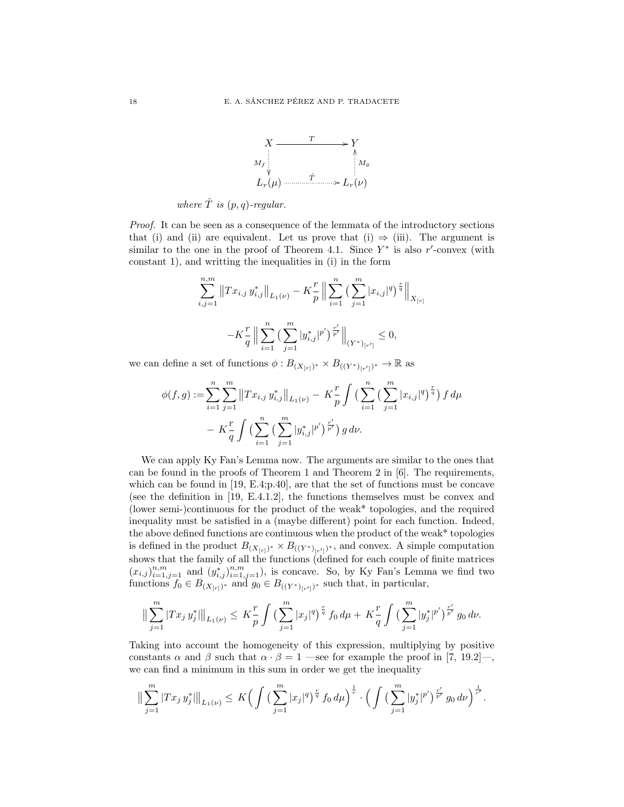

where  $\hat{T}$  is  $(p, q)$ -regular.

Proof. It can be seen as a consequence of the lemmata of the introductory sections that (i) and (ii) are equivalent. Let us prove that (i)  $\Rightarrow$  (iii). The argument is similar to the one in the proof of Theorem 4.1. Since  $Y^*$  is also r'-convex (with constant 1), and writting the inequalities in (i) in the form

$$
\sum_{i,j=1}^{n,m} \|Tx_{i,j} y_{i,j}^* \|_{L_1(\nu)} - K\frac{r}{p} \left\| \sum_{i=1}^n \left( \sum_{j=1}^m |x_{i,j}|^q \right)^{\frac{r}{q}} \right\|_{X_{[r]}} - K\frac{r}{q} \left\| \sum_{i=1}^n \left( \sum_{j=1}^m |y_{i,j}^*|^{p'} \right)^{\frac{r'}{p'}} \right\|_{(Y^*)_{[r']}} \le 0,
$$

we can define a set of functions  $\phi: B_{(X_{[r]})^*} \times B_{((Y^*)_{[r']})^*} \to \mathbb{R}$  as

$$
\phi(f,g) := \sum_{i=1}^{n} \sum_{j=1}^{m} ||Tx_{i,j} y_{i,j}^{*}||_{L_{1}(\nu)} - K \frac{r}{p} \int \left(\sum_{i=1}^{n} \left(\sum_{j=1}^{m} |x_{i,j}|^{q}\right)^{\frac{r}{q}}\right) f d\mu
$$

$$
- K \frac{r}{q} \int \left(\sum_{i=1}^{n} \left(\sum_{j=1}^{m} |y_{i,j}^{*}|^{p'}\right)^{\frac{r'}{p'}}\right) g d\nu.
$$

We can apply Ky Fan's Lemma now. The arguments are similar to the ones that can be found in the proofs of Theorem 1 and Theorem 2 in [6]. The requirements, which can be found in [19, E.4;p.40], are that the set of functions must be concave (see the definition in [19, E.4.1.2], the functions themselves must be convex and (lower semi-)continuous for the product of the weak\* topologies, and the required inequality must be satisfied in a (maybe different) point for each function. Indeed, the above defined functions are continuous when the product of the weak\* topologies is defined in the product  $B_{(X_{[r]})^*} \times B_{((Y^*)_{[r']})^*}$ , and convex. A simple computation shows that the family of all the functions (defined for each couple of finite matrices  $(x_{i,j})_{i=1,j=1}^{n,m}$  and  $(y_{i,j}^*)_{i=1,j=1}^{n,m}$ , is concave. So, by Ky Fan's Lemma we find two functions  $f_0 \in B_{(X_{[r]})^*}$  and  $g_0 \in B_{((Y^*)_{[r']})^*}$  such that, in particular,

$$
\Big\|\sum_{j=1}^m|Tx_j\,y_j^*|\Big\|_{L_1(\nu)}\leq K\frac{r}{p}\int\Big(\sum_{j=1}^m|x_j|^q\Big)^{\frac{r}{q}}\,f_0\,d\mu+K\frac{r}{q}\int\Big(\sum_{j=1}^m|y_j^*|^{p'}\Big)^{\frac{r'}{p'}}\,g_0\,d\nu.
$$

Taking into account the homogeneity of this expression, multiplying by positive constants  $\alpha$  and  $\beta$  such that  $\alpha \cdot \beta = 1$  —see for example the proof in [7, 19.2]—, we can find a minimum in this sum in order we get the inequality

$$
\|\sum_{j=1}^m|Tx_j\,y_j^*|\|_{L_1(\nu)}\leq K\Big(\int\big(\sum_{j=1}^m|x_j|^q\big)^{\frac{r}{q}}\,f_0\,d\mu\Big)^{\frac{1}{r}}\cdot\Big(\int\big(\sum_{j=1}^m|y_j^*|^{p'}\big)^{\frac{r'}{p'}}\,g_0\,d\nu\Big)^{\frac{1}{r'}}.
$$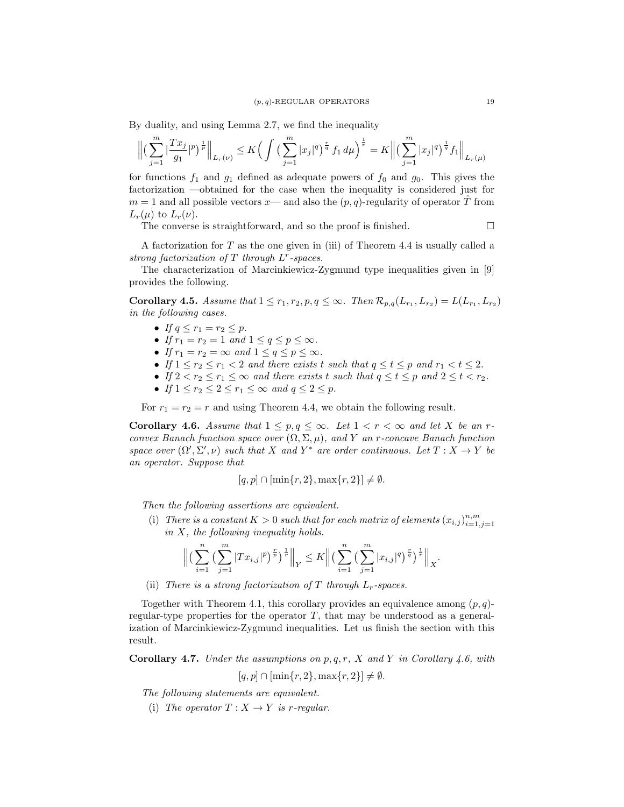By duality, and using Lemma 2.7, we find the inequality

$$
\Big\| \big(\sum_{j=1}^m |\frac{Tx_j}{g_1}|^p\big)^{\frac{1}{p}}\Big\|_{L_r(\nu)} \leq K \Big(\int \big(\sum_{j=1}^m |x_j|^q\big)^{\frac{r}{q}} \, f_1 \, d\mu\Big)^{\frac{1}{r}} = K \Big\| \big(\sum_{j=1}^m |x_j|^q\big)^{\frac{1}{q}} f_1\Big\|_{L_r(\mu)}
$$

for functions  $f_1$  and  $g_1$  defined as adequate powers of  $f_0$  and  $g_0$ . This gives the factorization —obtained for the case when the inequality is considered just for  $m = 1$  and all possible vectors  $x$ — and also the  $(p, q)$ -regularity of operator T from  $L_r(\mu)$  to  $L_r(\nu)$ .

The converse is straightforward, and so the proof is finished.  $\Box$ 

A factorization for  $T$  as the one given in (iii) of Theorem 4.4 is usually called a strong factorization of  $T$  through  $L^r$ -spaces.

The characterization of Marcinkiewicz-Zygmund type inequalities given in [9] provides the following.

**Corollary 4.5.** Assume that  $1 \leq r_1, r_2, p, q \leq \infty$ . Then  $\mathcal{R}_{p,q}(L_{r_1}, L_{r_2}) = L(L_{r_1}, L_{r_2})$ in the following cases.

- If  $q \leq r_1 = r_2 \leq p$ .
- If  $r_1 = r_2 = 1$  and  $1 \le q \le p \le \infty$ .
- If  $r_1 = r_2 = \infty$  and  $1 \le q \le p \le \infty$ .
- If  $1 \leq r_2 \leq r_1 < 2$  and there exists t such that  $q \leq t \leq p$  and  $r_1 < t \leq 2$ .
- If  $2 < r_2 \le r_1 \le \infty$  and there exists t such that  $q \le t \le p$  and  $2 \le t < r_2$ .
- If  $1 \leq r_2 \leq 2 \leq r_1 \leq \infty$  and  $q \leq 2 \leq p$ .

For  $r_1 = r_2 = r$  and using Theorem 4.4, we obtain the following result.

**Corollary 4.6.** Assume that  $1 \leq p, q \leq \infty$ . Let  $1 < r < \infty$  and let X be an rconvex Banach function space over  $(\Omega, \Sigma, \mu)$ , and Y an r-concave Banach function space over  $(\Omega', \Sigma', \nu)$  such that X and Y<sup>\*</sup> are order continuous. Let  $T : X \to Y$  be an operator. Suppose that

$$
[q, p] \cap [\min\{r, 2\}, \max\{r, 2\}] \neq \emptyset.
$$

Then the following assertions are equivalent.

(i) There is a constant  $K > 0$  such that for each matrix of elements  $(x_{i,j})_{i=1,j=1}^{n,m}$ in X, the following inequality holds.

$$
\Big\| \big(\sum_{i=1}^n \big(\sum_{j=1}^m |Tx_{i,j}|^p\big)^{\frac{r}{p}}\big)^{\frac{1}{r}}\Big\|_Y \leq K \Big\| \big(\sum_{i=1}^n \big(\sum_{j=1}^m |x_{i,j}|^q\big)^{\frac{r}{q}}\big)^{\frac{1}{r}}\Big\|_X.
$$

(ii) There is a strong factorization of T through  $L_r$ -spaces.

Together with Theorem 4.1, this corollary provides an equivalence among  $(p, q)$ regular-type properties for the operator  $T$ , that may be understood as a generalization of Marcinkiewicz-Zygmund inequalities. Let us finish the section with this result.

**Corollary 4.7.** Under the assumptions on  $p, q, r, X$  and Y in Corollary 4.6, with

$$
[q, p] \cap [\min\{r, 2\}, \max\{r, 2\}] \neq \emptyset.
$$

The following statements are equivalent.

(i) The operator  $T: X \rightarrow Y$  is r-regular.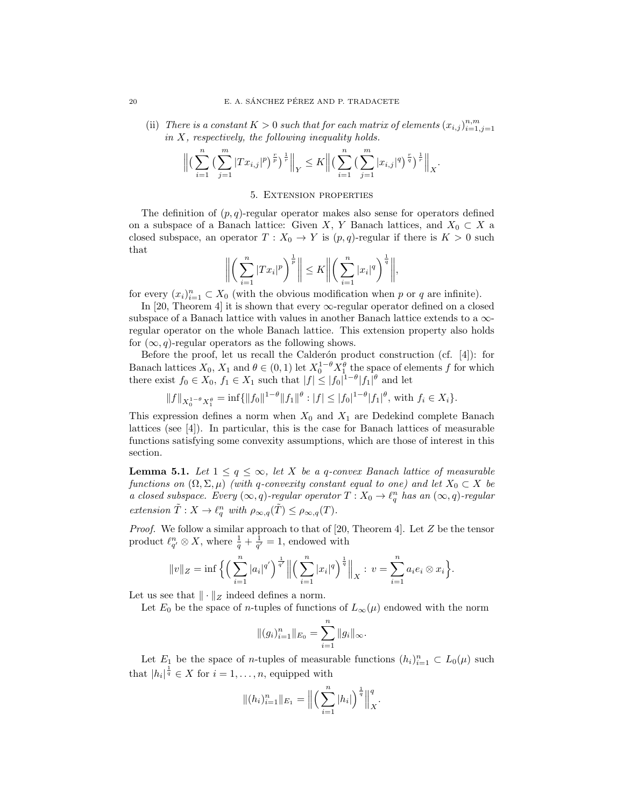(ii) There is a constant  $K > 0$  such that for each matrix of elements  $(x_{i,j})_{i=1,j=1}^{n,m}$ in  $X$ , respectively, the following inequality holds.

$$
\Big\| \Big(\sum_{i=1}^n \Big(\sum_{j=1}^m |Tx_{i,j}|^p\Big)^{\frac{r}{p}}\Big)^{\frac{1}{r}}\Big\|_Y \leq K \Big\| \Big(\sum_{i=1}^n \Big(\sum_{j=1}^m |x_{i,j}|^q\Big)^{\frac{r}{q}}\Big)^{\frac{1}{r}}\Big\|_X.
$$

### 5. Extension properties

The definition of  $(p, q)$ -regular operator makes also sense for operators defined on a subspace of a Banach lattice: Given X, Y Banach lattices, and  $X_0 \subset X$  a closed subspace, an operator  $T : X_0 \to Y$  is  $(p, q)$ -regular if there is  $K > 0$  such that

$$
\left\| \left( \sum_{i=1}^n |Tx_i|^p \right)^{\frac{1}{p}} \right\| \leq K \left\| \left( \sum_{i=1}^n |x_i|^q \right)^{\frac{1}{q}} \right\|,
$$

for every  $(x_i)_{i=1}^n \subset X_0$  (with the obvious modification when p or q are infinite).

In [20, Theorem 4] it is shown that every  $\infty$ -regular operator defined on a closed subspace of a Banach lattice with values in another Banach lattice extends to a  $\infty$ regular operator on the whole Banach lattice. This extension property also holds for  $(\infty, q)$ -regular operators as the following shows.

Before the proof, let us recall the Calderón product construction (cf.  $[4]$ ): for Banach lattices  $X_0, X_1$  and  $\theta \in (0, 1)$  let  $X_0^{1-\theta} X_1^{\theta}$  the space of elements f for which there exist  $f_0 \in X_0$ ,  $f_1 \in X_1$  such that  $|f| \leq |f_0|^{1-\theta} |f_1|^{\theta}$  and let

$$
||f||_{X_0^{1-\theta}X_1^{\theta}} = \inf \{ ||f_0||^{1-\theta} ||f_1||^{\theta} : |f| \le |f_0|^{1-\theta} |f_1|^{\theta}, \text{ with } f_i \in X_i \}.
$$

This expression defines a norm when  $X_0$  and  $X_1$  are Dedekind complete Banach lattices (see [4]). In particular, this is the case for Banach lattices of measurable functions satisfying some convexity assumptions, which are those of interest in this section.

**Lemma 5.1.** Let  $1 \leq q \leq \infty$ , let X be a q-convex Banach lattice of measurable functions on  $(\Omega, \Sigma, \mu)$  (with q-convexity constant equal to one) and let  $X_0 \subset X$  be a closed subspace. Every  $(\infty, q)$ -regular operator  $T : X_0 \to \ell_q^n$  has an  $(\infty, q)$ -regular extension  $\tilde{T}: X \to \ell_q^n$  with  $\rho_{\infty,q}(\tilde{T}) \leq \rho_{\infty,q}(T)$ .

*Proof.* We follow a similar approach to that of [20, Theorem 4]. Let  $Z$  be the tensor product  $\ell_{q'}^n \otimes X$ , where  $\frac{1}{q} + \frac{1}{q'} = 1$ , endowed with

$$
||v||_Z = \inf \Big\{ \Big( \sum_{i=1}^n |a_i|^{q'} \Big)^{\frac{1}{q'}} \Big\| \Big( \sum_{i=1}^n |x_i|^q \Big)^{\frac{1}{q}} \Big\|_X : v = \sum_{i=1}^n a_i e_i \otimes x_i \Big\}.
$$

Let us see that  $\|\cdot\|_Z$  indeed defines a norm.

Let  $E_0$  be the space of *n*-tuples of functions of  $L_{\infty}(\mu)$  endowed with the norm

$$
||(g_i)_{i=1}^n||_{E_0} = \sum_{i=1}^n ||g_i||_{\infty}.
$$

Let  $E_1$  be the space of *n*-tuples of measurable functions  $(h_i)_{i=1}^n \subset L_0(\mu)$  such that  $|h_i|^{\frac{1}{q}} \in X$  for  $i = 1, \ldots, n$ , equipped with

$$
\|(h_i)_{i=1}^n\|_{E_1} = \left\| \left( \sum_{i=1}^n |h_i| \right)^{\frac{1}{q}} \right\|_X^q.
$$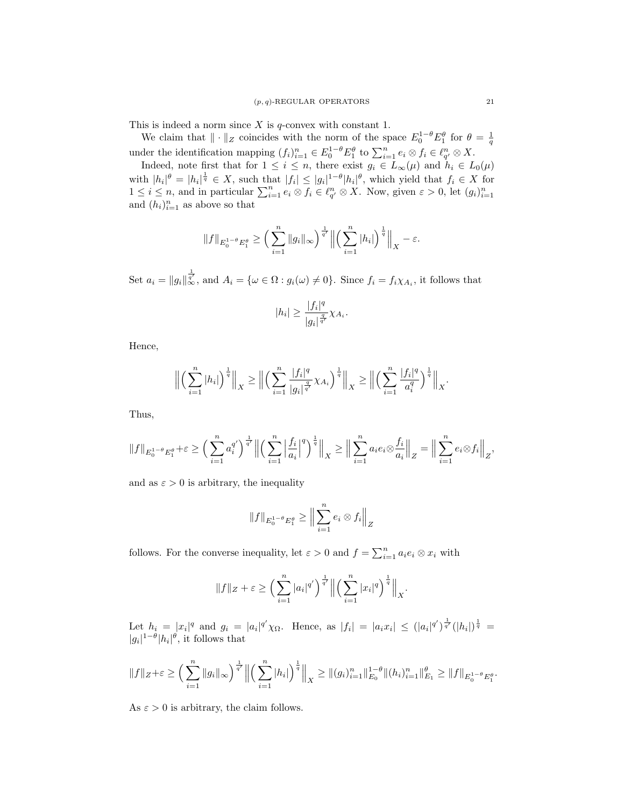This is indeed a norm since  $X$  is  $q$ -convex with constant 1.

We claim that  $\|\cdot\|_Z$  coincides with the norm of the space  $E_0^{1-\theta}E_1^{\theta}$  for  $\theta = \frac{1}{q}$ under the identification mapping  $(f_i)_{i=1}^n \in E_0^{1-\theta} E_1^{\theta}$  to  $\sum_{i=1}^n e_i \otimes f_i \in \ell_{q'}^n \otimes X$ .

Indeed, note first that for  $1 \leq i \leq n$ , there exist  $g_i \in L_{\infty}(\mu)$  and  $h_i \in L_0(\mu)$ with  $|h_i|^{\theta} = |h_i|^{\frac{1}{q}} \in X$ , such that  $|f_i| \leq |g_i|^{1-\theta} |h_i|^{\theta}$ , which yield that  $f_i \in X$  for  $1 \leq i \leq n$ , and in particular  $\sum_{i=1}^{n} e_i \otimes f_i \in \ell_{q'}^n \otimes X$ . Now, given  $\varepsilon > 0$ , let  $(g_i)_{i=1}^n$ and  $(h_i)_{i=1}^n$  as above so that

$$
||f||_{E_0^{1-\theta}E_1^{\theta}} \ge \left(\sum_{i=1}^n ||g_i||_{\infty}\right)^{\frac{1}{q'}} \left\| \left(\sum_{i=1}^n |h_i| \right)^{\frac{1}{q}} \right\|_X - \varepsilon.
$$

Set  $a_i = ||g_i||_{\infty}^{\frac{1}{q'}}$ , and  $A_i = {\omega \in \Omega : g_i(\omega) \neq 0}.$  Since  $f_i = f_i \chi_{A_i}$ , it follows that

$$
|h_i| \ge \frac{|f_i|^q}{|g_i|^{\frac{q}{q'}}} \chi_{A_i}.
$$

Hence,

$$
\left\| \left( \sum_{i=1}^n |h_i| \right)^{\frac{1}{q}} \right\|_X \ge \left\| \left( \sum_{i=1}^n \frac{|f_i|^q}{|g_i|^{\frac{q}{q'}}} \chi_{A_i} \right)^{\frac{1}{q}} \right\|_X \ge \left\| \left( \sum_{i=1}^n \frac{|f_i|^q}{a_i^q} \right)^{\frac{1}{q}} \right\|_X.
$$

Thus,

$$
||f||_{E_0^{1-\theta}E_1^{\theta}} + \varepsilon \ge \left(\sum_{i=1}^n a_i^{q'}\right)^{\frac{1}{q'}} \left\| \left(\sum_{i=1}^n \left|\frac{f_i}{a_i}\right|^q\right)^{\frac{1}{q}} \right\|_X \ge \left\| \sum_{i=1}^n a_i e_i \otimes \frac{f_i}{a_i} \right\|_Z = \left\| \sum_{i=1}^n e_i \otimes f_i \right\|_Z,
$$

and as  $\varepsilon > 0$  is arbitrary, the inequality

$$
||f||_{E_0^{1-\theta}E_1^{\theta}} \geq ||\sum_{i=1}^n e_i \otimes f_i||_Z
$$

follows. For the converse inequality, let  $\varepsilon > 0$  and  $f = \sum_{i=1}^{n} a_i e_i \otimes x_i$  with

$$
||f||_Z + \varepsilon \ge \left(\sum_{i=1}^n |a_i|^{q'}\right)^{\frac{1}{q'}} \left\| \left(\sum_{i=1}^n |x_i|^q\right)^{\frac{1}{q}} \right\|_X.
$$

Let  $h_i = |x_i|^q$  and  $g_i = |a_i|^{q'} \chi_{\Omega}$ . Hence, as  $|f_i| = |a_i x_i| \leq (|a_i|^{q'})^{\frac{1}{q'}} (|h_i|)^{\frac{1}{q}} =$  $|g_i|^{1-\theta}$ | $h_i|^\theta$ , it follows that

$$
||f||_Z+\varepsilon \geq \left(\sum_{i=1}^n ||g_i||_{\infty}\right)^{\frac{1}{q'}} \left\| \left(\sum_{i=1}^n |h_i|\right)^{\frac{1}{q}} \right\|_X \geq ||(g_i)_{i=1}^n||_{E_0}^{1-\theta} ||(h_i)_{i=1}^n||_{E_1}^{\theta} \geq ||f||_{E_0^{1-\theta}E_1^{\theta}}.
$$

As  $\varepsilon > 0$  is arbitrary, the claim follows.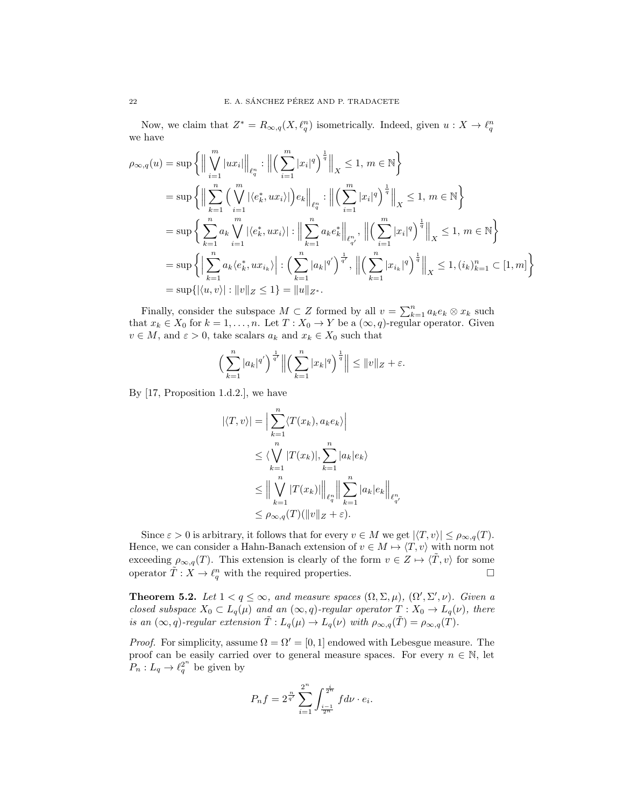Now, we claim that  $Z^* = R_{\infty,q}(X,\ell_q^n)$  isometrically. Indeed, given  $u: X \to \ell_q^n$ we have

$$
\rho_{\infty,q}(u) = \sup \left\{ \Big\| \bigvee_{i=1}^{m} |ux_i| \Big\|_{\ell_q^n} : \Big\| \Big( \sum_{i=1}^{m} |x_i|^q \Big)^{\frac{1}{q}} \Big\|_{X} \leq 1, \, m \in \mathbb{N} \right\}
$$
  
\n
$$
= \sup \left\{ \Big\| \sum_{k=1}^{n} \Big( \bigvee_{i=1}^{m} |\langle e_k^*, ux_i \rangle| \Big) e_k \Big\|_{\ell_q^n} : \Big\| \Big( \sum_{i=1}^{m} |x_i|^q \Big)^{\frac{1}{q}} \Big\|_{X} \leq 1, \, m \in \mathbb{N} \right\}
$$
  
\n
$$
= \sup \left\{ \sum_{k=1}^{n} a_k \bigvee_{i=1}^{m} |\langle e_k^*, ux_i \rangle| : \Big\| \sum_{k=1}^{n} a_k e_k^* \Big\|_{\ell_{q'}^m}, \, \Big\| \Big( \sum_{i=1}^{m} |x_i|^q \Big)^{\frac{1}{q}} \Big\|_{X} \leq 1, \, m \in \mathbb{N} \right\}
$$
  
\n
$$
= \sup \left\{ \Big| \sum_{k=1}^{n} a_k \langle e_k^*, ux_{i_k} \rangle \Big| : \Big( \sum_{k=1}^{n} |a_k|^q \Big)^{\frac{1}{q'}}, \, \Big\| \Big( \sum_{k=1}^{n} |x_{i_k}|^q \Big)^{\frac{1}{q}} \Big\|_{X} \leq 1, \, (i_k)_{k=1}^n \subset [1, m] \right\}
$$
  
\n
$$
= \sup \{ |\langle u, v \rangle| : \|v\|_{Z} \leq 1 \} = \|u\|_{Z^*}.
$$

Finally, consider the subspace  $M \subset Z$  formed by all  $v = \sum_{k=1}^{n} a_k e_k \otimes x_k$  such that  $x_k \in X_0$  for  $k = 1, ..., n$ . Let  $T : X_0 \to Y$  be a  $(\infty, q)$ -regular operator. Given  $v \in M$ , and  $\varepsilon > 0$ , take scalars  $a_k$  and  $x_k \in X_0$  such that

$$
\left(\sum_{k=1}^n |a_k|^{q'}\right)^{\frac{1}{q'}} \left\| \left(\sum_{k=1}^n |x_k|^q\right)^{\frac{1}{q}} \right\| \leq \|v\|_Z + \varepsilon.
$$

By [17, Proposition 1.d.2.], we have

$$
|\langle T, v \rangle| = \Big| \sum_{k=1}^{n} \langle T(x_k), a_k e_k \rangle \Big|
$$
  
\n
$$
\leq \langle \bigvee_{k=1}^{n} |T(x_k)|, \sum_{k=1}^{n} |a_k| e_k \rangle
$$
  
\n
$$
\leq \Big\| \bigvee_{k=1}^{n} |T(x_k)| \Big\|_{\ell_q^n} \Big\| \sum_{k=1}^{n} |a_k| e_k \Big\|_{\ell_{q'}^n}
$$
  
\n
$$
\leq \rho_{\infty,q}(T)(\|v\|_Z + \varepsilon).
$$

Since  $\varepsilon > 0$  is arbitrary, it follows that for every  $v \in M$  we get  $|\langle T, v \rangle| \leq \rho_{\infty,q}(T)$ . Hence, we can consider a Hahn-Banach extension of  $v \in M \mapsto \langle T, v \rangle$  with norm not exceeding  $\rho_{\infty,q}(T)$ . This extension is clearly of the form  $v \in Z \mapsto \langle \tilde{T}, v \rangle$  for some operator  $\tilde{T} : X \to \ell_q^n$  with the required properties.

**Theorem 5.2.** Let  $1 < q \le \infty$ , and measure spaces  $(\Omega, \Sigma, \mu)$ ,  $(\Omega', \Sigma', \nu)$ . Given a closed subspace  $X_0 \subset L_q(\mu)$  and an  $(\infty, q)$ -regular operator  $T : X_0 \to L_q(\nu)$ , there is an  $(\infty, q)$ -regular extension  $\tilde{T}: L_q(\mu) \to L_q(\nu)$  with  $\rho_{\infty,q}(\tilde{T}) = \rho_{\infty,q}(T)$ .

*Proof.* For simplicity, assume  $\Omega = \Omega' = [0, 1]$  endowed with Lebesgue measure. The proof can be easily carried over to general measure spaces. For every  $n \in \mathbb{N}$ , let  $P_n: L_q \to \ell_q^{2^n}$  be given by

$$
P_n f = 2^{\frac{n}{q'}} \sum_{i=1}^{2^n} \int_{\frac{i-1}{2^n}}^{\frac{i}{2^n}} f d\nu \cdot e_i.
$$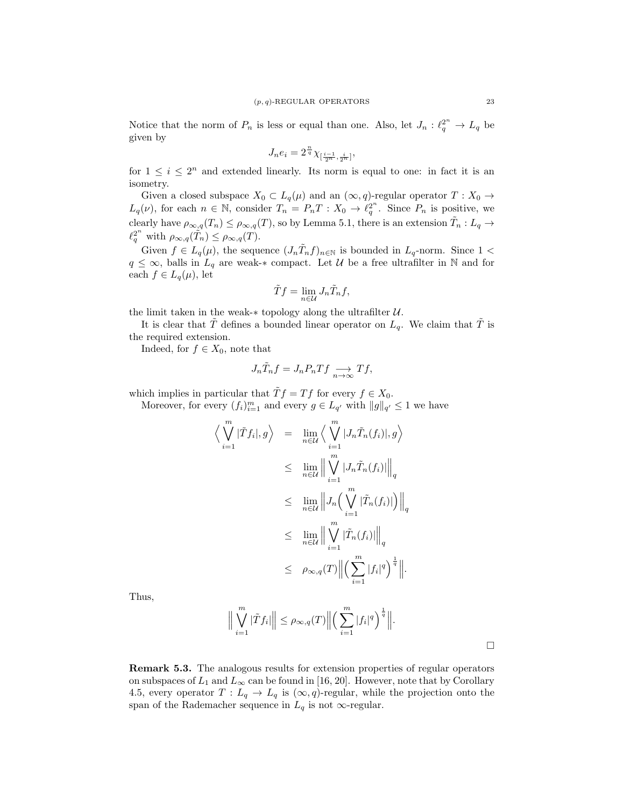Notice that the norm of  $P_n$  is less or equal than one. Also, let  $J_n: \ell_q^{2^n} \to L_q$  be given by

$$
J_n e_i = 2^{\frac{n}{q}} \chi_{[\frac{i-1}{2^n},\frac{i}{2^n}]},
$$

for  $1 \leq i \leq 2^n$  and extended linearly. Its norm is equal to one: in fact it is an isometry.

Given a closed subspace  $X_0 \subset L_q(\mu)$  and an  $(\infty, q)$ -regular operator  $T : X_0 \to$  $L_q(\nu)$ , for each  $n \in \mathbb{N}$ , consider  $T_n = P_n T : X_0 \to \ell_q^{2^n}$ . Since  $P_n$  is positive, we clearly have  $\rho_{\infty,q}(T_n) \leq \rho_{\infty,q}(T)$ , so by Lemma 5.1, there is an extension  $\tilde{T}_n: L_q \to$  $\ell_q^{2^n}$  with  $\rho_{\infty,q}(\tilde{T}_n) \leq \rho_{\infty,q}(T)$ .

Given  $f \in L_q(\mu)$ , the sequence  $(J_n\tilde{T}_n f)_{n \in \mathbb{N}}$  is bounded in  $L_q$ -norm. Since  $1 <$  $q \leq \infty$ , balls in  $L_q$  are weak-\* compact. Let U be a free ultrafilter in N and for each  $f \in L_q(\mu)$ , let

$$
\tilde{T}f = \lim_{n \in \mathcal{U}} J_n \tilde{T}_n f,
$$

the limit taken in the weak- $*$  topology along the ultrafilter  $U$ .

It is clear that T defines a bounded linear operator on  $L_q$ . We claim that T is the required extension.

Indeed, for  $f \in X_0$ , note that

$$
J_n \tilde{T}_n f = J_n P_n T f \underset{n \to \infty}{\longrightarrow} Tf,
$$

which implies in particular that  $\tilde{T} f = Tf$  for every  $f \in X_0$ .

Moreover, for every  $(f_i)_{i=1}^m$  and every  $g \in L_{q'}$  with  $||g||_{q'} \leq 1$  we have

$$
\left\langle \bigvee_{i=1}^{m} |\tilde{T}f_{i}|, g \right\rangle = \lim_{n \in \mathcal{U}} \left\langle \bigvee_{i=1}^{m} |J_{n} \tilde{T}_{n}(f_{i})|, g \right\rangle
$$
  
\n
$$
\leq \lim_{n \in \mathcal{U}} \left\| \bigvee_{i=1}^{m} |J_{n} \tilde{T}_{n}(f_{i})| \right\|_{q}
$$
  
\n
$$
\leq \lim_{n \in \mathcal{U}} \left\| J_{n} \left( \bigvee_{i=1}^{m} |\tilde{T}_{n}(f_{i})| \right) \right\|_{q}
$$
  
\n
$$
\leq \lim_{n \in \mathcal{U}} \left\| \bigvee_{i=1}^{m} |\tilde{T}_{n}(f_{i})| \right\|_{q}
$$
  
\n
$$
\leq \rho_{\infty,q}(T) \left\| \left( \sum_{i=1}^{m} |f_{i}|^{q} \right)^{\frac{1}{q}} \right\|.
$$

Thus,

$$
\Big\|\bigvee_{i=1}^m |\tilde{T}f_i|\Big\| \leq \rho_{\infty,q}(T)\Big\|\Big(\sum_{i=1}^m |f_i|^q\Big)^{\frac{1}{q}}\Big\|.
$$

Remark 5.3. The analogous results for extension properties of regular operators on subspaces of  $L_1$  and  $L_\infty$  can be found in [16, 20]. However, note that by Corollary 4.5, every operator  $T: L_q \to L_q$  is  $(\infty, q)$ -regular, while the projection onto the span of the Rademacher sequence in  $L_q$  is not  $\infty$ -regular.

 $\Box$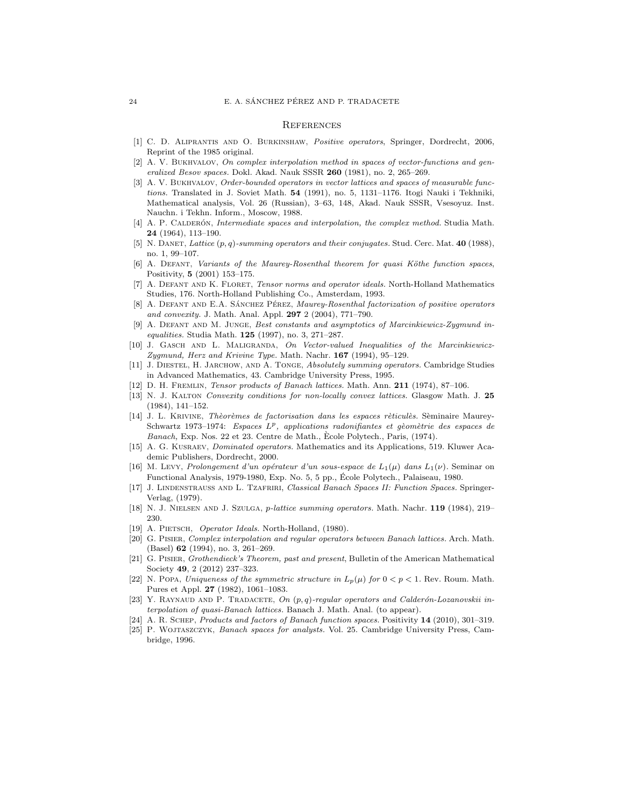#### **REFERENCES**

- [1] C. D. Aliprantis and O. Burkinshaw, Positive operators, Springer, Dordrecht, 2006, Reprint of the 1985 original.
- [2] A. V. Bukhvalov, On complex interpolation method in spaces of vector-functions and generalized Besov spaces. Dokl. Akad. Nauk SSSR 260 (1981), no. 2, 265-269.
- [3] A. V. BUKHVALOV, Order-bounded operators in vector lattices and spaces of measurable functions. Translated in J. Soviet Math. 54 (1991), no. 5, 1131–1176. Itogi Nauki i Tekhniki, Mathematical analysis, Vol. 26 (Russian), 3–63, 148, Akad. Nauk SSSR, Vsesoyuz. Inst. Nauchn. i Tekhn. Inform., Moscow, 1988.
- [4] A. P. CALDERÓN, *Intermediate spaces and interpolation, the complex method.* Studia Math. 24 (1964), 113–190.
- [5] N. DANET, Lattice  $(p, q)$ -summing operators and their conjugates. Stud. Cerc. Mat. 40 (1988), no. 1, 99–107.
- [6] A. DEFANT, Variants of the Maurey-Rosenthal theorem for quasi Köthe function spaces, Positivity, 5 (2001) 153–175.
- [7] A. DEFANT AND K. FLORET, Tensor norms and operator ideals. North-Holland Mathematics Studies, 176. North-Holland Publishing Co., Amsterdam, 1993.
- [8] A. DEFANT AND E.A. SÁNCHEZ PÉREZ, *Maurey-Rosenthal factorization of positive operators* and convexity. J. Math. Anal. Appl. 297 2 (2004), 771–790.
- [9] A. Defant and M. Junge, Best constants and asymptotics of Marcinkiewicz-Zygmund inequalities. Studia Math. 125 (1997), no. 3, 271–287.
- [10] J. GASCH AND L. MALIGRANDA, On Vector-valued Inequalities of the Marcinkiewicz-Zygmund, Herz and Krivine Type. Math. Nachr.  $167$  (1994), 95–129.
- [11] J. Diestel, H. Jarchow, and A. Tonge, Absolutely summing operators. Cambridge Studies in Advanced Mathematics, 43. Cambridge University Press, 1995.
- [12] D. H. Fremlin, Tensor products of Banach lattices. Math. Ann. 211 (1974), 87–106.
- [13] N. J. Kalton Convexity conditions for non-locally convex lattices. Glasgow Math. J. 25 (1984), 141–152.
- [14] J. L. KRIVINE, Thèorèmes de factorisation dans les espaces rèticulès. Sèminaire Maurey-Schwartz 1973–1974: Espaces  $L^p$ , applications radonifiantes et gèomètrie des espaces de Banach, Exp. Nos. 22 et 23. Centre de Math., Ecole Polytech., Paris, (1974). `
- [15] A. G. Kusraev, Dominated operators. Mathematics and its Applications, 519. Kluwer Academic Publishers, Dordrecht, 2000.
- [16] M. Levy, Prolongement d'un opérateur d'un sous-espace de  $L_1(\mu)$  dans  $L_1(\nu)$ . Seminar on Functional Analysis, 1979-1980, Exp. No. 5, 5 pp., Ecole Polytech., Palaiseau, 1980. ´
- [17] J. LINDENSTRAUSS AND L. TZAFRIRI, Classical Banach Spaces II: Function Spaces. Springer-Verlag, (1979).
- [18] N. J. NIELSEN AND J. SZULGA, *p-lattice summing operators*. Math. Nachr. **119** (1984), 219– 230.
- [19] A. PIETSCH, *Operator Ideals*. North-Holland, (1980).
- [20] G. Pisier, Complex interpolation and regular operators between Banach lattices. Arch. Math. (Basel) 62 (1994), no. 3, 261–269.
- [21] G. PISIER, Grothendieck's Theorem, past and present, Bulletin of the American Mathematical Society 49, 2 (2012) 237–323.
- [22] N. Popa, Uniqueness of the symmetric structure in  $L_p(\mu)$  for  $0 < p < 1$ . Rev. Roum. Math. Pures et Appl. 27 (1982), 1061–1083.
- [23] Y. RAYNAUD AND P. TRADACETE, On  $(p, q)$ -regular operators and Calderón-Lozanovskii interpolation of quasi-Banach lattices. Banach J. Math. Anal. (to appear).
- [24] A. R. Schep, Products and factors of Banach function spaces. Positivity 14 (2010), 301–319.
- [25] P. Wojtaszczyk, Banach spaces for analysts. Vol. 25. Cambridge University Press, Cambridge, 1996.